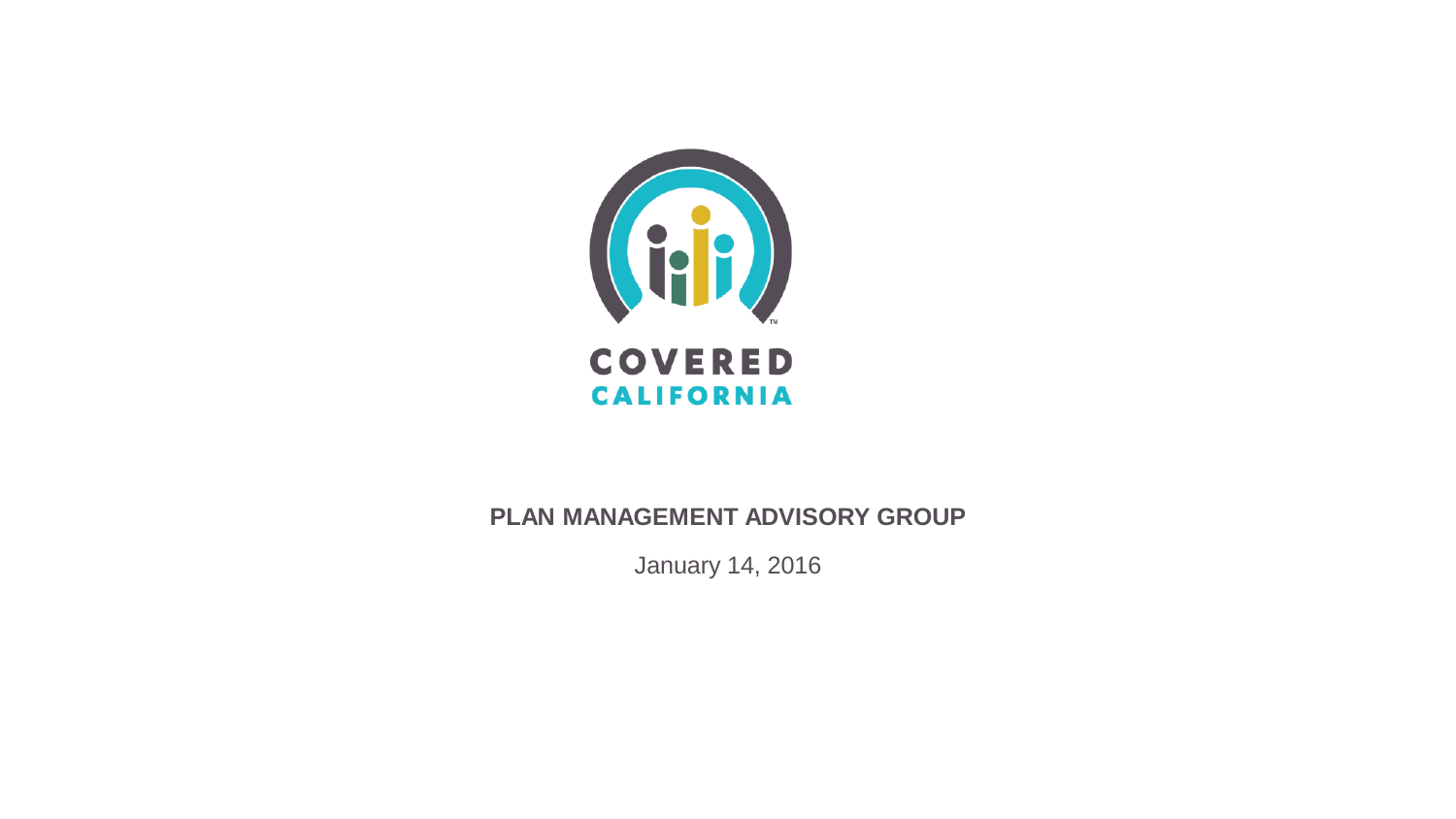

#### **PLAN MANAGEMENT ADVISORY GROUP**

January 14, 2016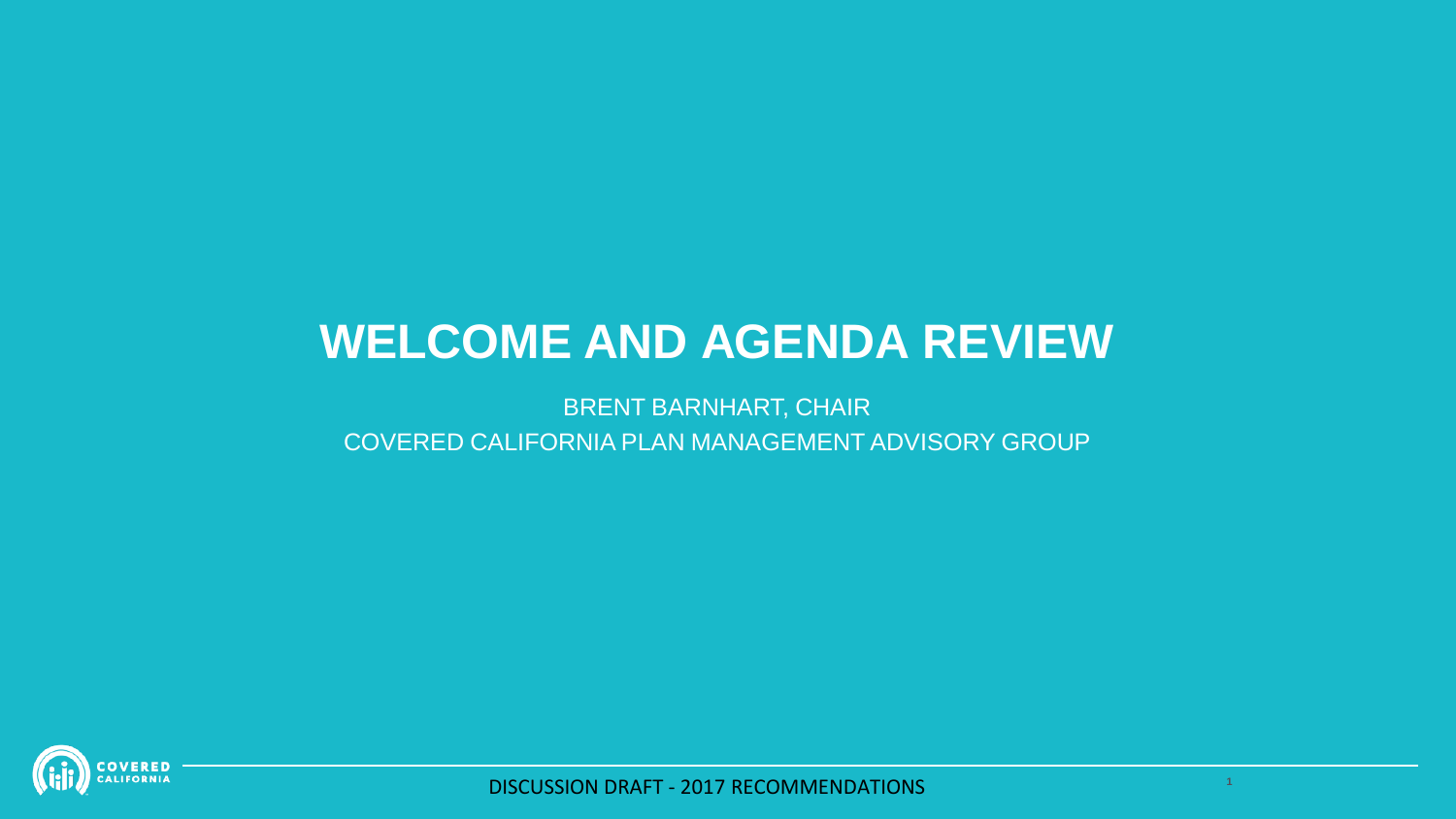# **WELCOME AND AGENDA REVIEW**

BRENT BARNHART, CHAIR COVERED CALIFORNIA PLAN MANAGEMENT ADVISORY GROUP

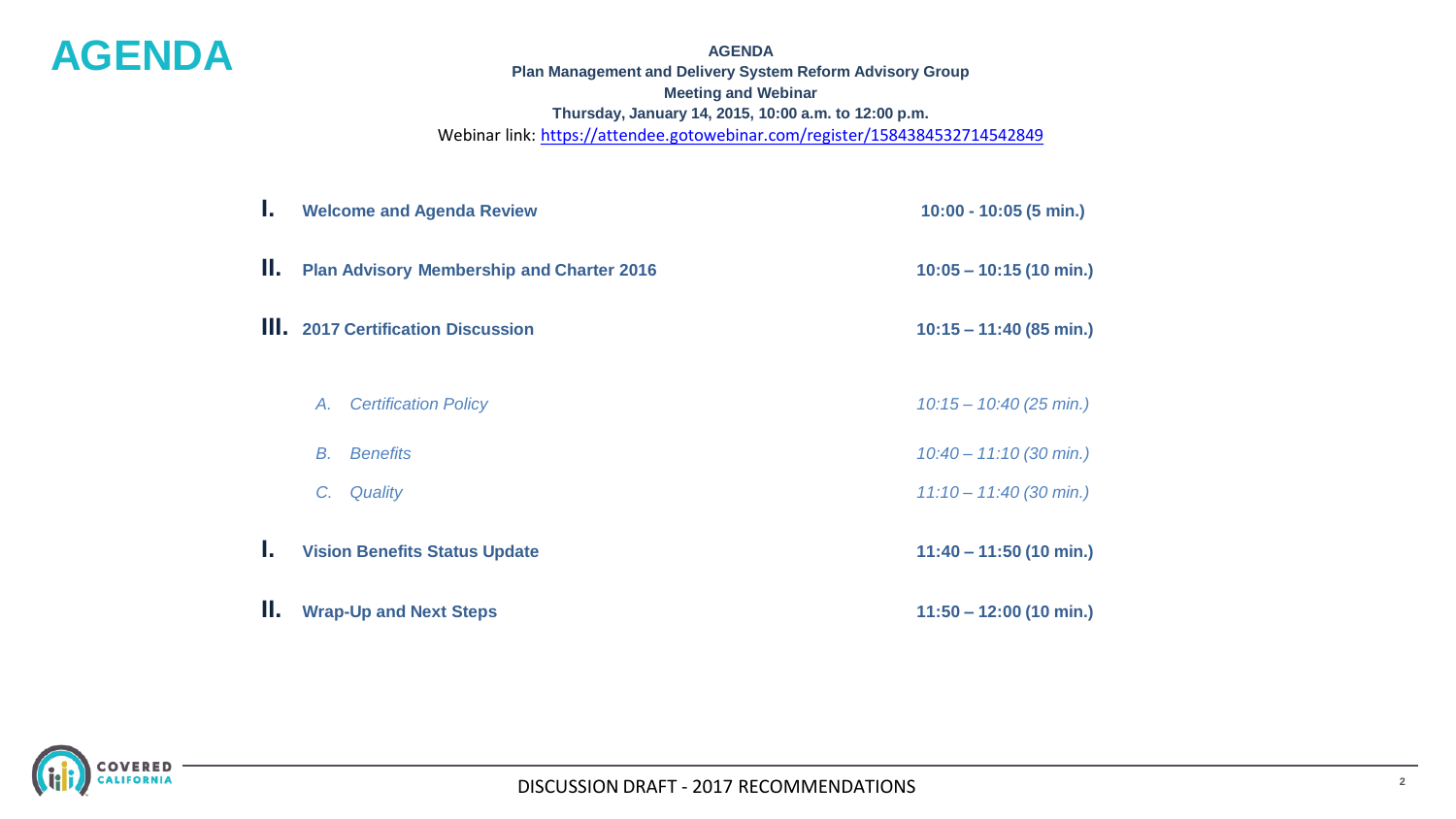#### **AGENDA**

**AGENDA Plan Management and Delivery System Reform Advisory Group Meeting and Webinar Thursday, January 14, 2015, 10:00 a.m. to 12:00 p.m.** Webinar link:<https://attendee.gotowebinar.com/register/1584384532714542849>

| L. | <b>Welcome and Agenda Review</b>                 | $10:00 - 10:05(5 min.)$<br>$10:05 - 10:15(10 min.)$<br>$10:15 - 11:40(85 \text{ min.})$ |  |
|----|--------------------------------------------------|-----------------------------------------------------------------------------------------|--|
| Ш. | <b>Plan Advisory Membership and Charter 2016</b> |                                                                                         |  |
|    | <b>III.</b> 2017 Certification Discussion        |                                                                                         |  |
|    | <b>Certification Policy</b><br>А.                | $10:15 - 10:40$ (25 min.)                                                               |  |
|    | <b>Benefits</b><br>$B_{\cdot}$                   | $10:40 - 11:10(30 \text{ min.})$                                                        |  |
|    | С.<br>Quality                                    | $11:10 - 11:40$ (30 min.)                                                               |  |
| L. | <b>Vision Benefits Status Update</b>             | $11:40 - 11:50$ (10 min.)                                                               |  |
| Ш. | <b>Wrap-Up and Next Steps</b>                    | $11:50 - 12:00(10 min.)$                                                                |  |

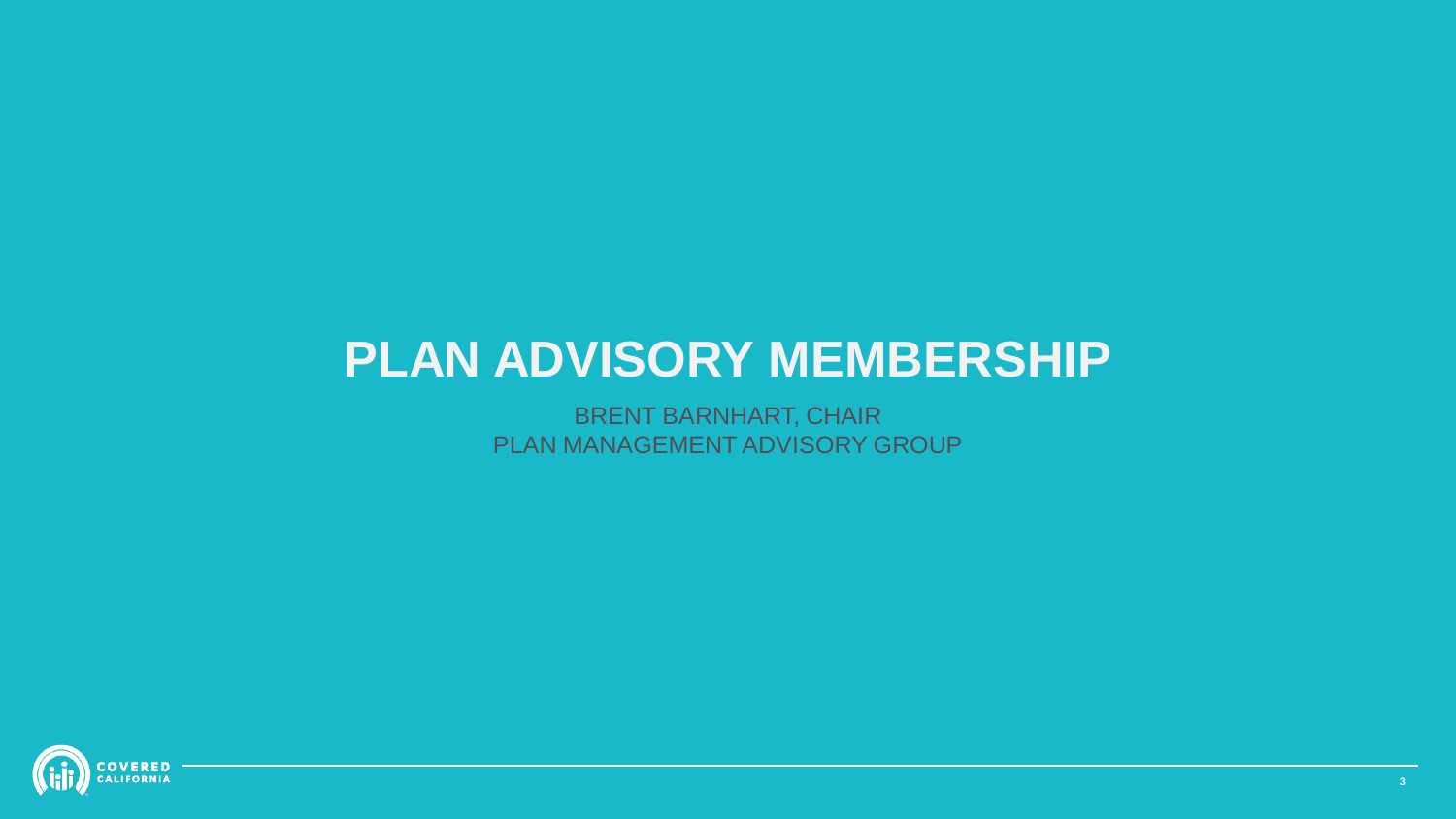# **PLAN ADVISORY MEMBERSHIP**

BRENT BARNHART, CHAIR PLAN MANAGEMENT ADVISORY GROUP

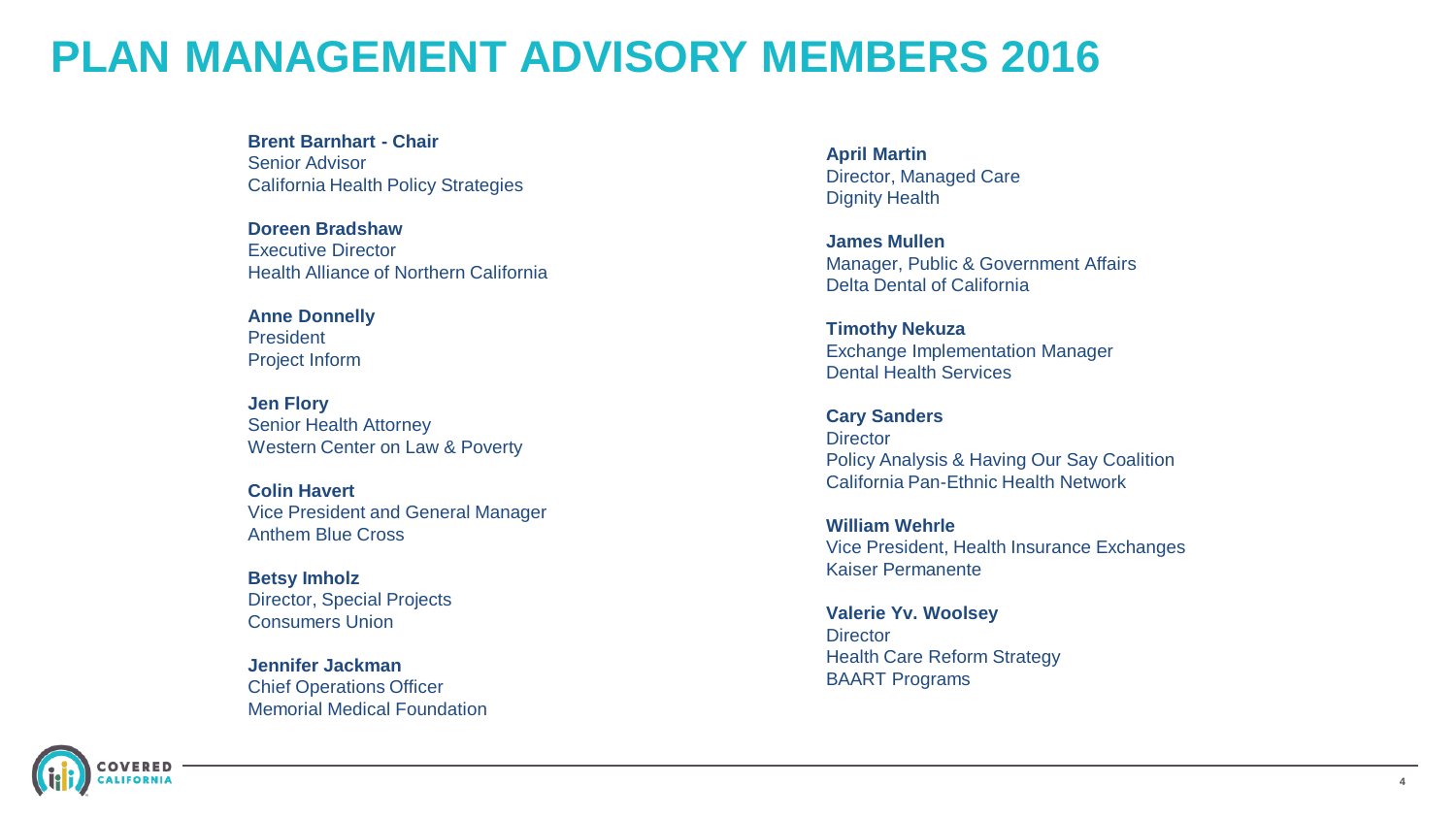## **PLAN MANAGEMENT ADVISORY MEMBERS 2016**

**Brent Barnhart - Chair** Senior Advisor California Health Policy Strategies

**Doreen Bradshaw** Executive Director Health Alliance of Northern California

**Anne Donnelly** President Project Inform

**Jen Flory** Senior Health Attorney Western Center on Law & Poverty

**Colin Havert** Vice President and General Manager Anthem Blue Cross

**Betsy Imholz** Director, Special Projects Consumers Union

**Jennifer Jackman**  Chief Operations Officer Memorial Medical Foundation **April Martin** Director, Managed Care Dignity Health

**James Mullen** Manager, Public & Government Affairs Delta Dental of California

**Timothy Nekuza** Exchange Implementation Manager Dental Health Services

**Cary Sanders Director** Policy Analysis & Having Our Say Coalition California Pan-Ethnic Health Network

**William Wehrle**  Vice President, Health Insurance Exchanges Kaiser Permanente

**Valerie Yv. Woolsey Director** Health Care Reform Strategy BAART Programs

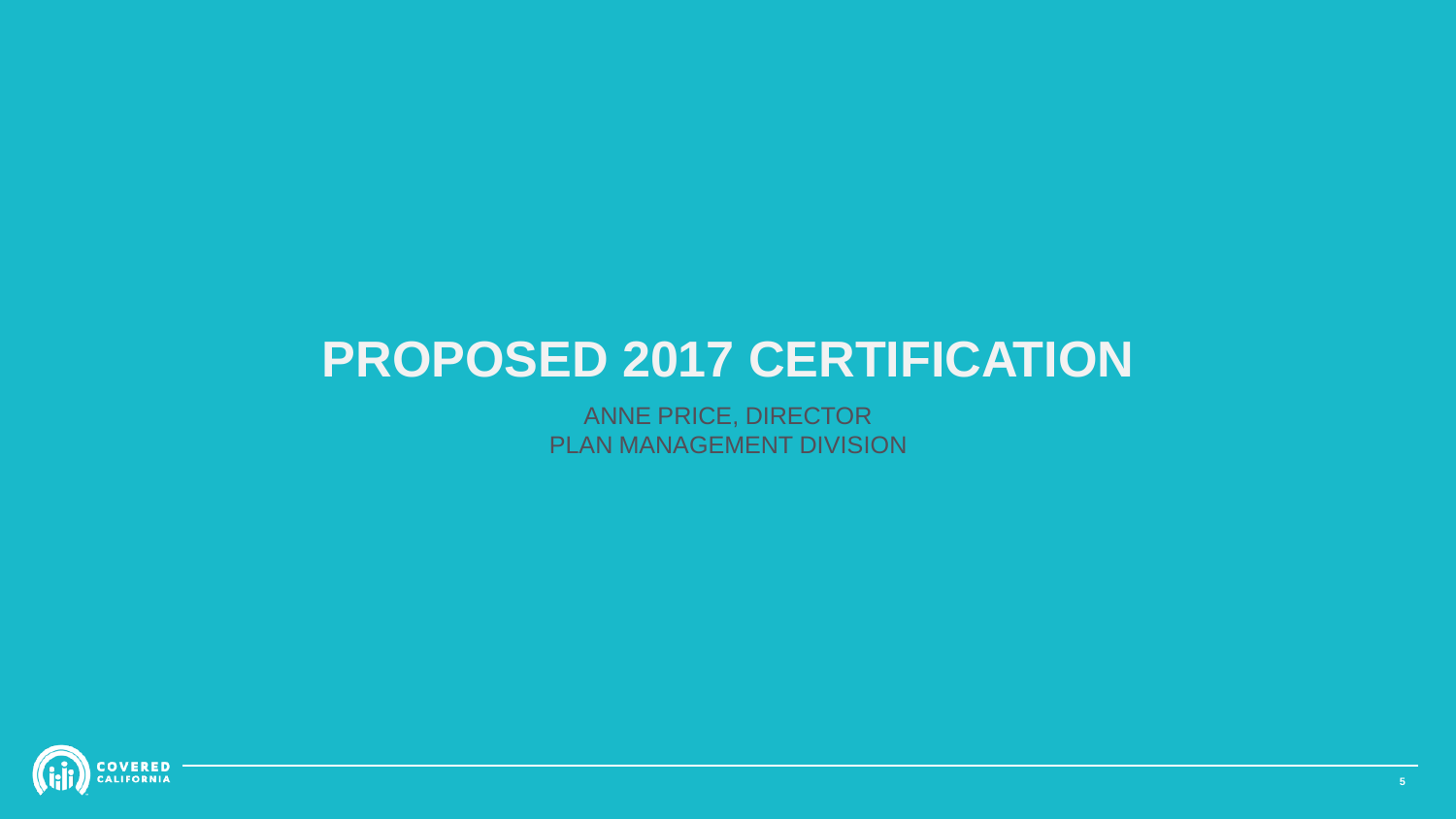# **PROPOSED 2017 CERTIFICATION**

ANNE PRICE, DIRECTOR PLAN MANAGEMENT DIVISION

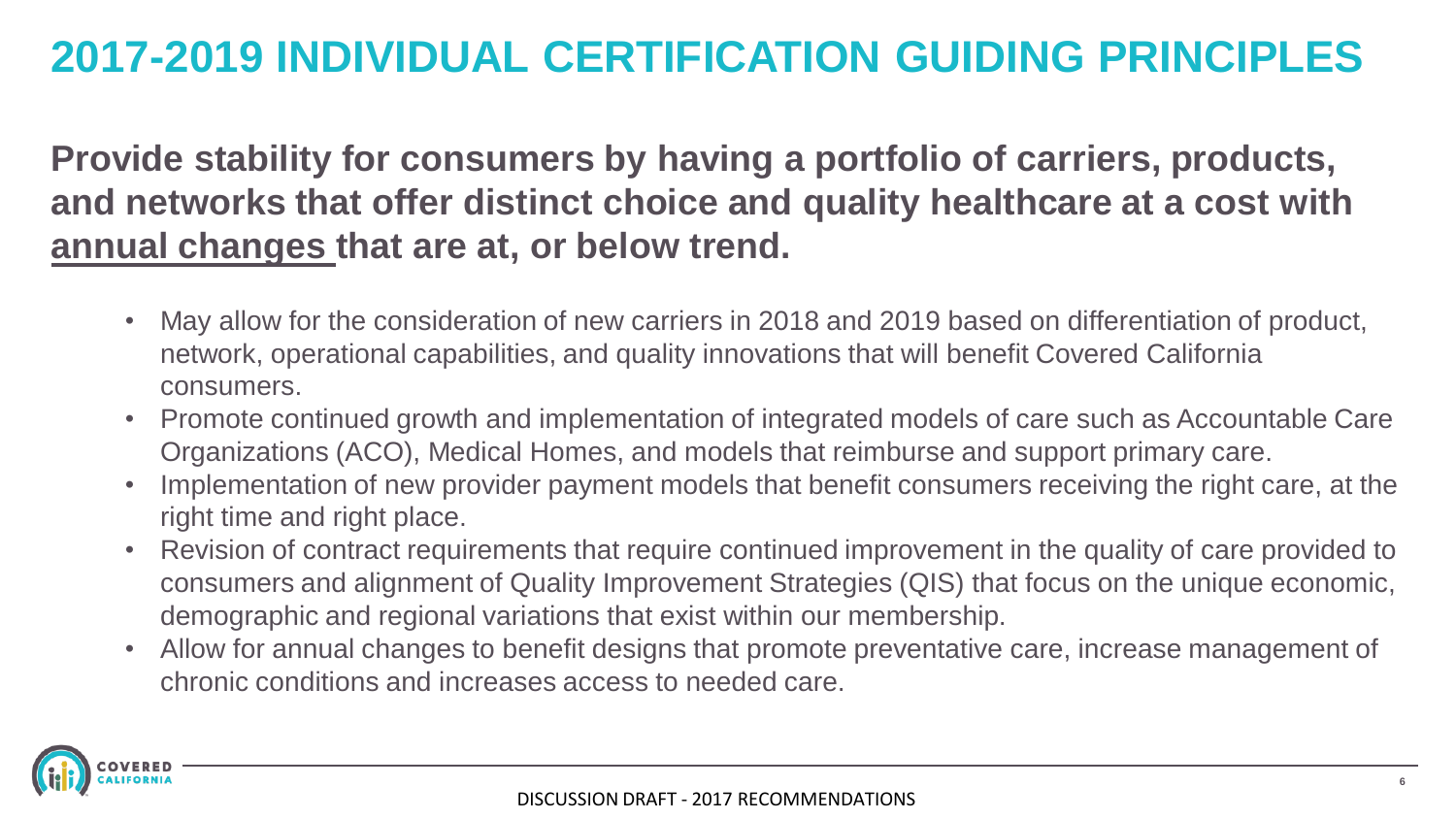# **2017-2019 INDIVIDUAL CERTIFICATION GUIDING PRINCIPLES**

**Provide stability for consumers by having a portfolio of carriers, products, and networks that offer distinct choice and quality healthcare at a cost with annual changes that are at, or below trend.**

- May allow for the consideration of new carriers in 2018 and 2019 based on differentiation of product, network, operational capabilities, and quality innovations that will benefit Covered California consumers.
- Promote continued growth and implementation of integrated models of care such as Accountable Care Organizations (ACO), Medical Homes, and models that reimburse and support primary care.
- Implementation of new provider payment models that benefit consumers receiving the right care, at the right time and right place.
- Revision of contract requirements that require continued improvement in the quality of care provided to consumers and alignment of Quality Improvement Strategies (QIS) that focus on the unique economic, demographic and regional variations that exist within our membership.
- Allow for annual changes to benefit designs that promote preventative care, increase management of chronic conditions and increases access to needed care.

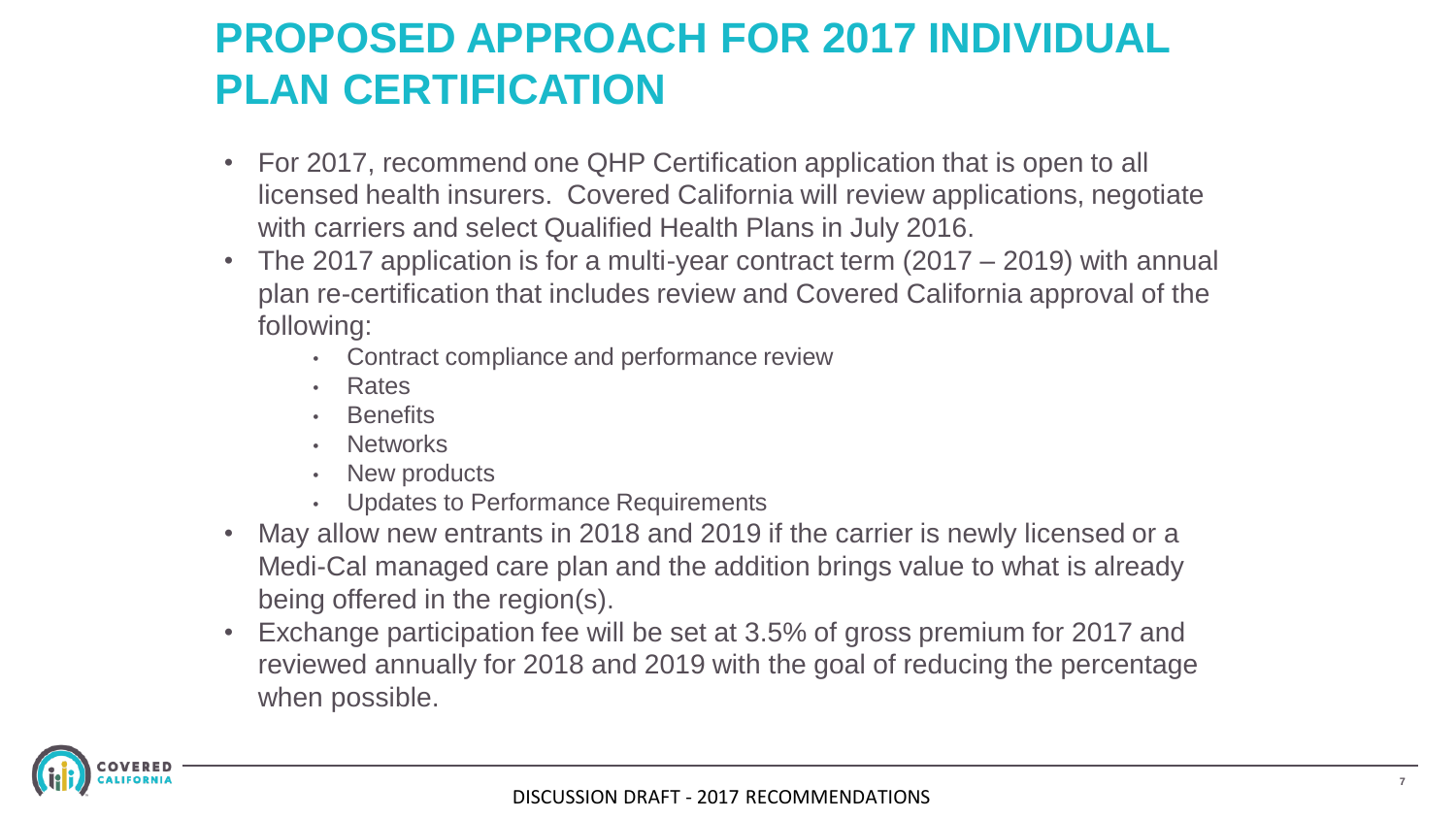## **PROPOSED APPROACH FOR 2017 INDIVIDUAL PLAN CERTIFICATION**

- For 2017, recommend one QHP Certification application that is open to all licensed health insurers. Covered California will review applications, negotiate with carriers and select Qualified Health Plans in July 2016.
- The 2017 application is for a multi-year contract term (2017 2019) with annual plan re-certification that includes review and Covered California approval of the following:
	- Contract compliance and performance review
	- Rates
	- **Benefits**
	- **Networks**
	- New products
	- Updates to Performance Requirements
- May allow new entrants in 2018 and 2019 if the carrier is newly licensed or a Medi-Cal managed care plan and the addition brings value to what is already being offered in the region(s).
- Exchange participation fee will be set at 3.5% of gross premium for 2017 and reviewed annually for 2018 and 2019 with the goal of reducing the percentage when possible.

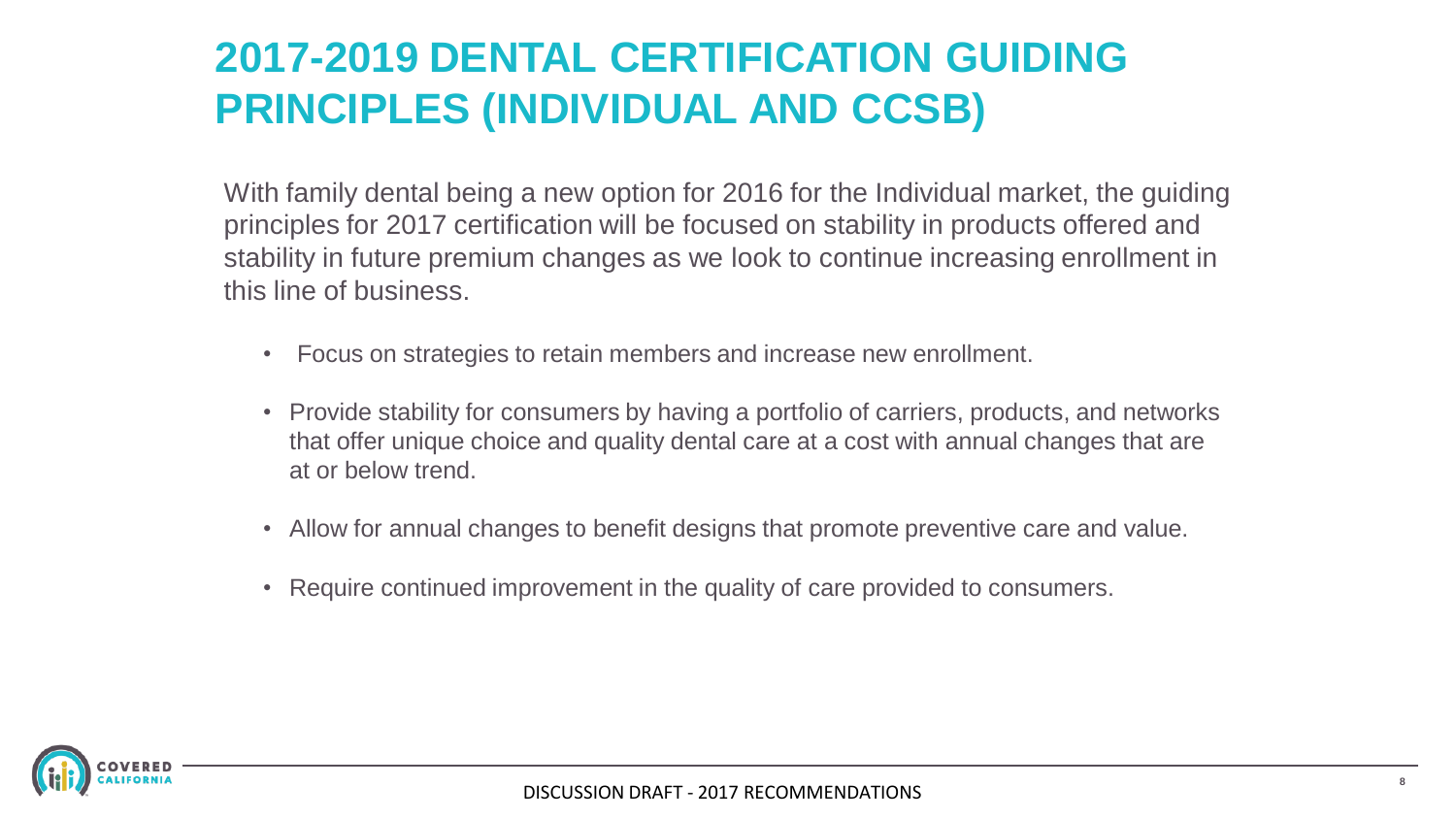## **2017-2019 DENTAL CERTIFICATION GUIDING PRINCIPLES (INDIVIDUAL AND CCSB)**

With family dental being a new option for 2016 for the Individual market, the guiding principles for 2017 certification will be focused on stability in products offered and stability in future premium changes as we look to continue increasing enrollment in this line of business.

- Focus on strategies to retain members and increase new enrollment.
- Provide stability for consumers by having a portfolio of carriers, products, and networks that offer unique choice and quality dental care at a cost with annual changes that are at or below trend.
- Allow for annual changes to benefit designs that promote preventive care and value.
- Require continued improvement in the quality of care provided to consumers.

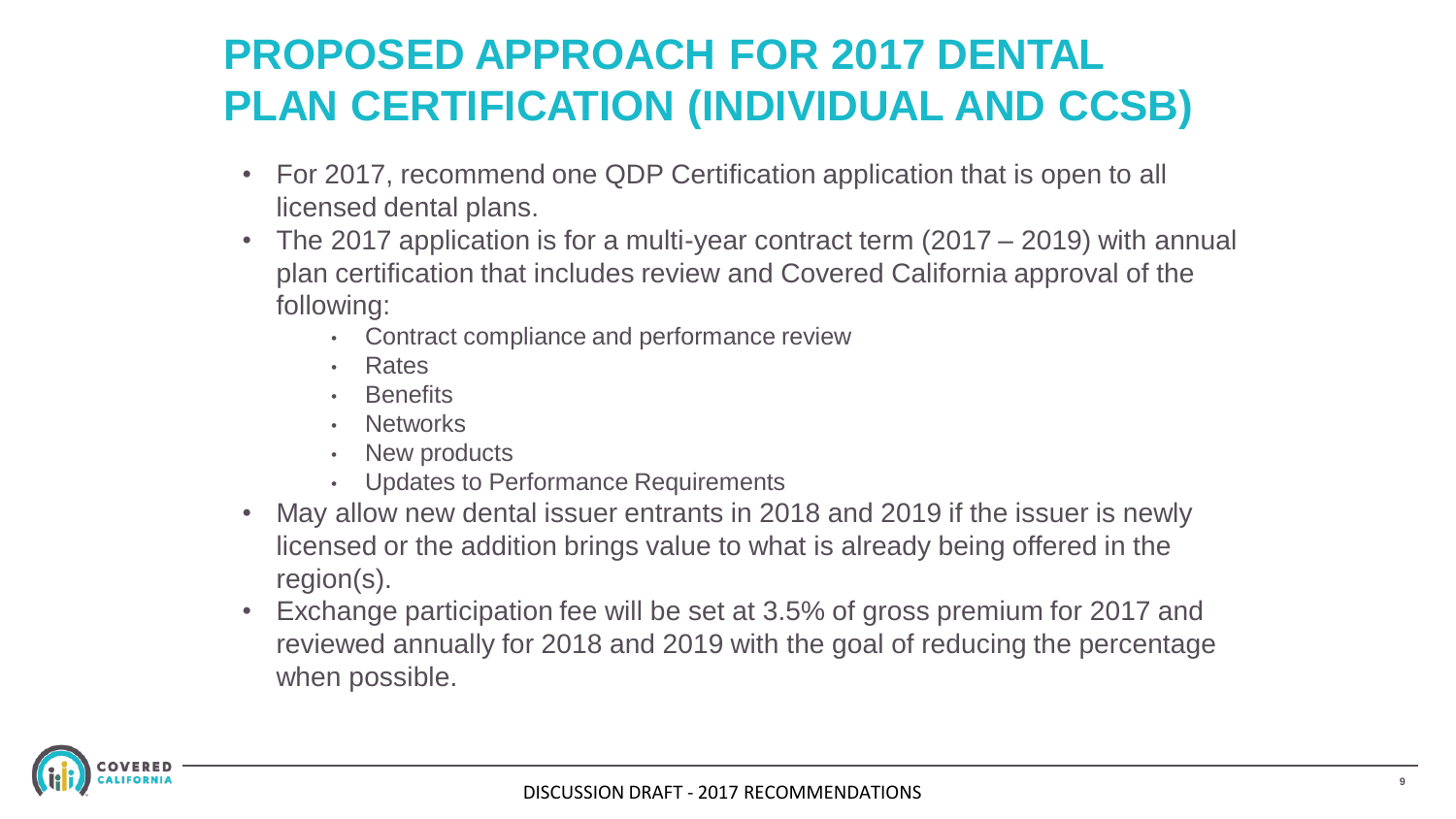## **PROPOSED APPROACH FOR 2017 DENTAL PLAN CERTIFICATION (INDIVIDUAL AND CCSB)**

- For 2017, recommend one QDP Certification application that is open to all licensed dental plans.
- The 2017 application is for a multi-year contract term (2017 2019) with annual plan certification that includes review and Covered California approval of the following:
	- Contract compliance and performance review
	- Rates
	- Benefits
	- Networks
	- New products
	- Updates to Performance Requirements
- May allow new dental issuer entrants in 2018 and 2019 if the issuer is newly licensed or the addition brings value to what is already being offered in the region(s).
- Exchange participation fee will be set at 3.5% of gross premium for 2017 and reviewed annually for 2018 and 2019 with the goal of reducing the percentage when possible.

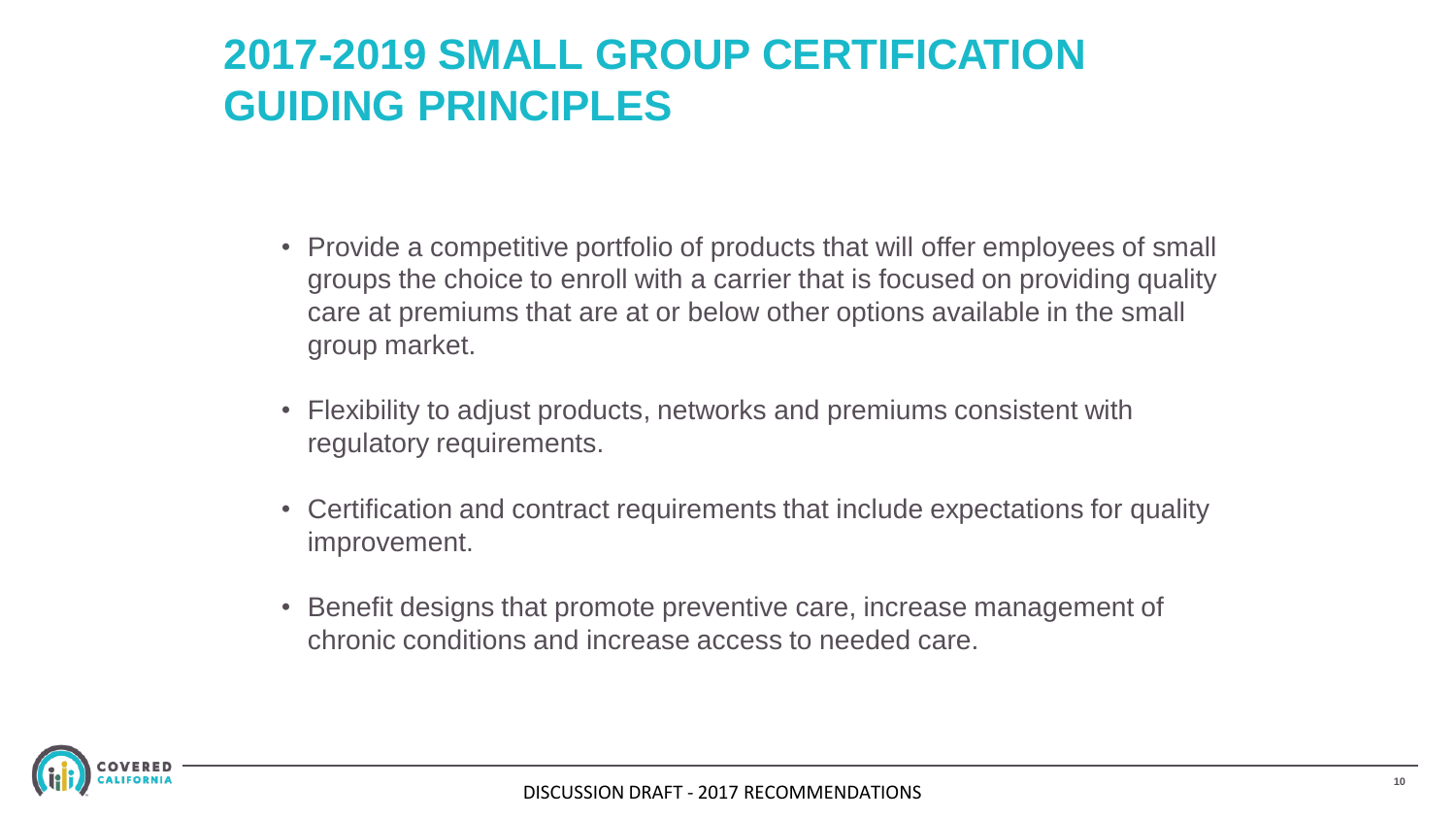## **2017-2019 SMALL GROUP CERTIFICATION GUIDING PRINCIPLES**

- Provide a competitive portfolio of products that will offer employees of small groups the choice to enroll with a carrier that is focused on providing quality care at premiums that are at or below other options available in the small group market.
- Flexibility to adjust products, networks and premiums consistent with regulatory requirements.
- Certification and contract requirements that include expectations for quality improvement.
- Benefit designs that promote preventive care, increase management of chronic conditions and increase access to needed care.

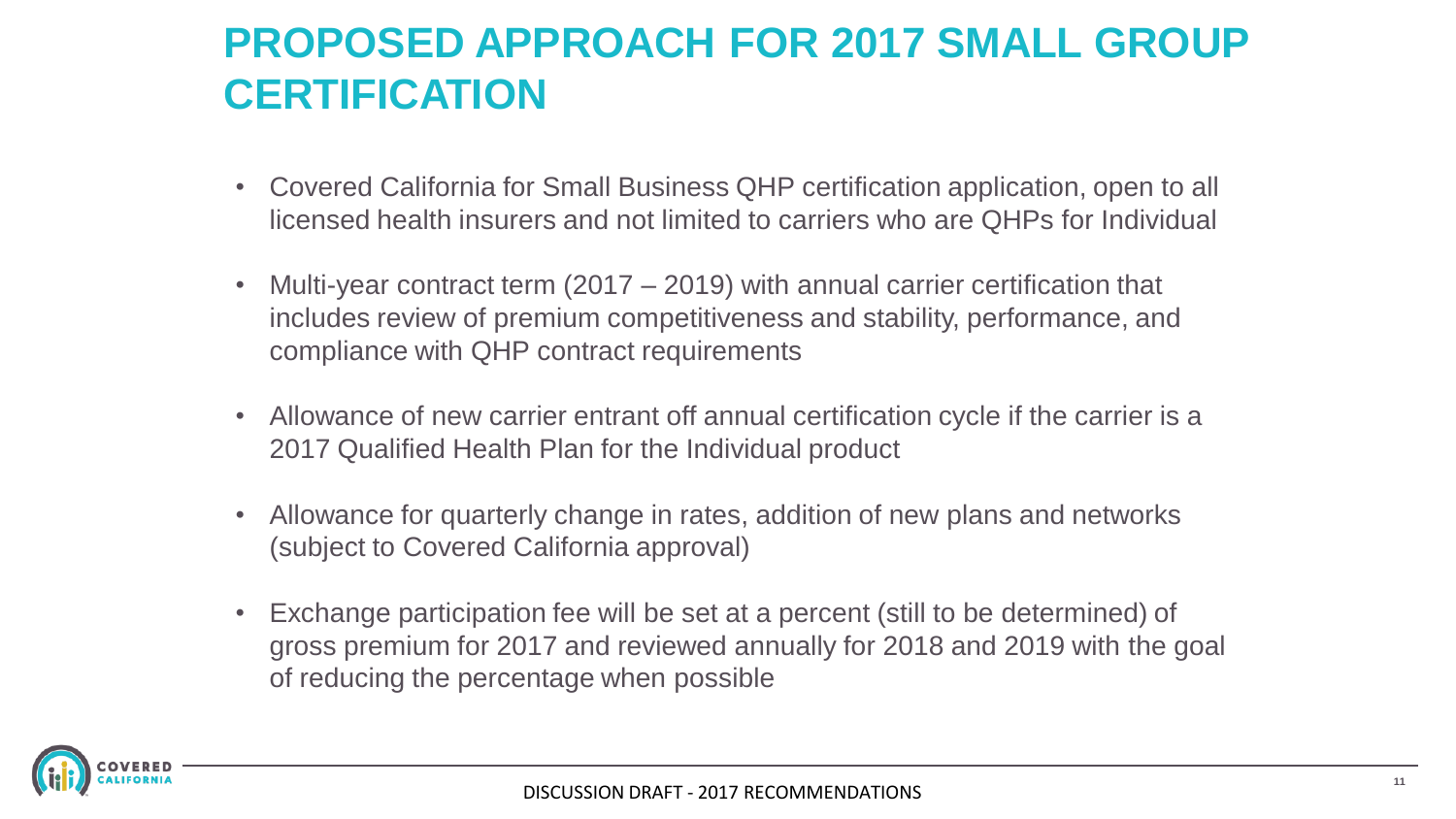## **PROPOSED APPROACH FOR 2017 SMALL GROUP CERTIFICATION**

- Covered California for Small Business QHP certification application, open to all licensed health insurers and not limited to carriers who are QHPs for Individual
- Multi-year contract term  $(2017 2019)$  with annual carrier certification that includes review of premium competitiveness and stability, performance, and compliance with QHP contract requirements
- Allowance of new carrier entrant off annual certification cycle if the carrier is a 2017 Qualified Health Plan for the Individual product
- Allowance for quarterly change in rates, addition of new plans and networks (subject to Covered California approval)
- Exchange participation fee will be set at a percent (still to be determined) of gross premium for 2017 and reviewed annually for 2018 and 2019 with the goal of reducing the percentage when possible

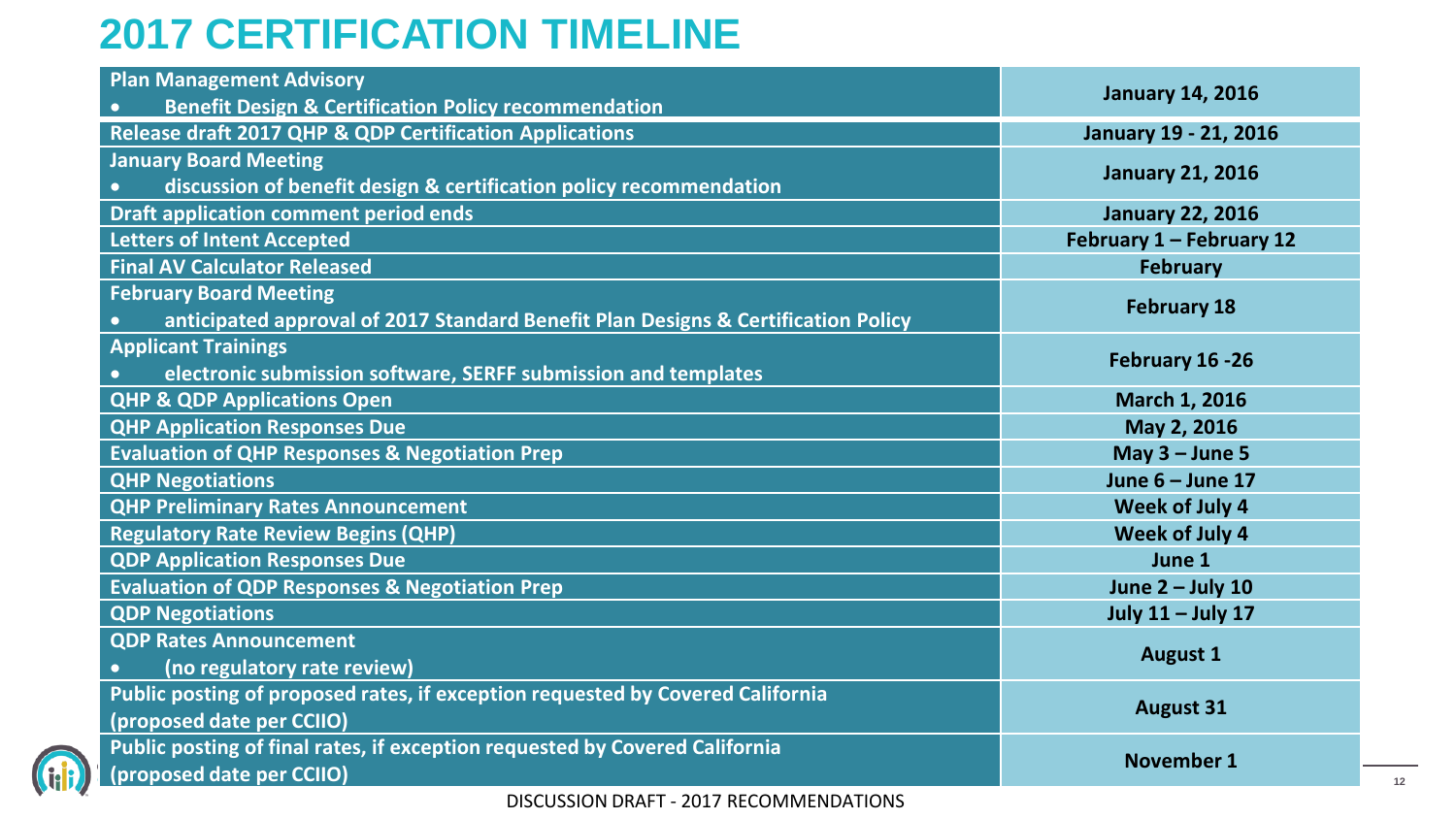## **2017 CERTIFICATION TIMELINE**

| <b>Plan Management Advisory</b>                                                                | <b>January 14, 2016</b>  |  |  |
|------------------------------------------------------------------------------------------------|--------------------------|--|--|
| <b>Benefit Design &amp; Certification Policy recommendation</b><br>$\bullet$                   |                          |  |  |
| <b>Release draft 2017 QHP &amp; QDP Certification Applications</b>                             | January 19 - 21, 2016    |  |  |
| <b>January Board Meeting</b>                                                                   | <b>January 21, 2016</b>  |  |  |
| discussion of benefit design & certification policy recommendation<br>$\bullet$                |                          |  |  |
| <b>Draft application comment period ends</b>                                                   | <b>January 22, 2016</b>  |  |  |
| <b>Letters of Intent Accepted</b>                                                              | February 1 - February 12 |  |  |
| <b>Final AV Calculator Released</b>                                                            | <b>February</b>          |  |  |
| <b>February Board Meeting</b>                                                                  |                          |  |  |
| anticipated approval of 2017 Standard Benefit Plan Designs & Certification Policy<br>$\bullet$ | <b>February 18</b>       |  |  |
| <b>Applicant Trainings</b>                                                                     | February 16 - 26         |  |  |
| electronic submission software, SERFF submission and templates                                 |                          |  |  |
| <b>QHP &amp; QDP Applications Open</b>                                                         | March 1, 2016            |  |  |
| <b>QHP Application Responses Due</b>                                                           | May 2, 2016              |  |  |
| <b>Evaluation of QHP Responses &amp; Negotiation Prep</b>                                      | May $3 -$ June 5         |  |  |
| <b>QHP Negotiations</b>                                                                        | June 6 - June 17         |  |  |
| <b>QHP Preliminary Rates Announcement</b>                                                      | Week of July 4           |  |  |
| <b>Regulatory Rate Review Begins (QHP)</b>                                                     | Week of July 4           |  |  |
| <b>QDP Application Responses Due</b>                                                           | June 1                   |  |  |
| <b>Evaluation of QDP Responses &amp; Negotiation Prep</b>                                      | June $2 -$ July 10       |  |  |
| <b>QDP Negotiations</b>                                                                        | July 11 - July 17        |  |  |
| <b>QDP Rates Announcement</b>                                                                  |                          |  |  |
| (no regulatory rate review)<br>$\bullet$                                                       | <b>August 1</b>          |  |  |
| Public posting of proposed rates, if exception requested by Covered California                 | <b>August 31</b>         |  |  |
| (proposed date per CCIIO)                                                                      |                          |  |  |
| Public posting of final rates, if exception requested by Covered California                    | November 1               |  |  |
| (proposed date per CCIIO)                                                                      |                          |  |  |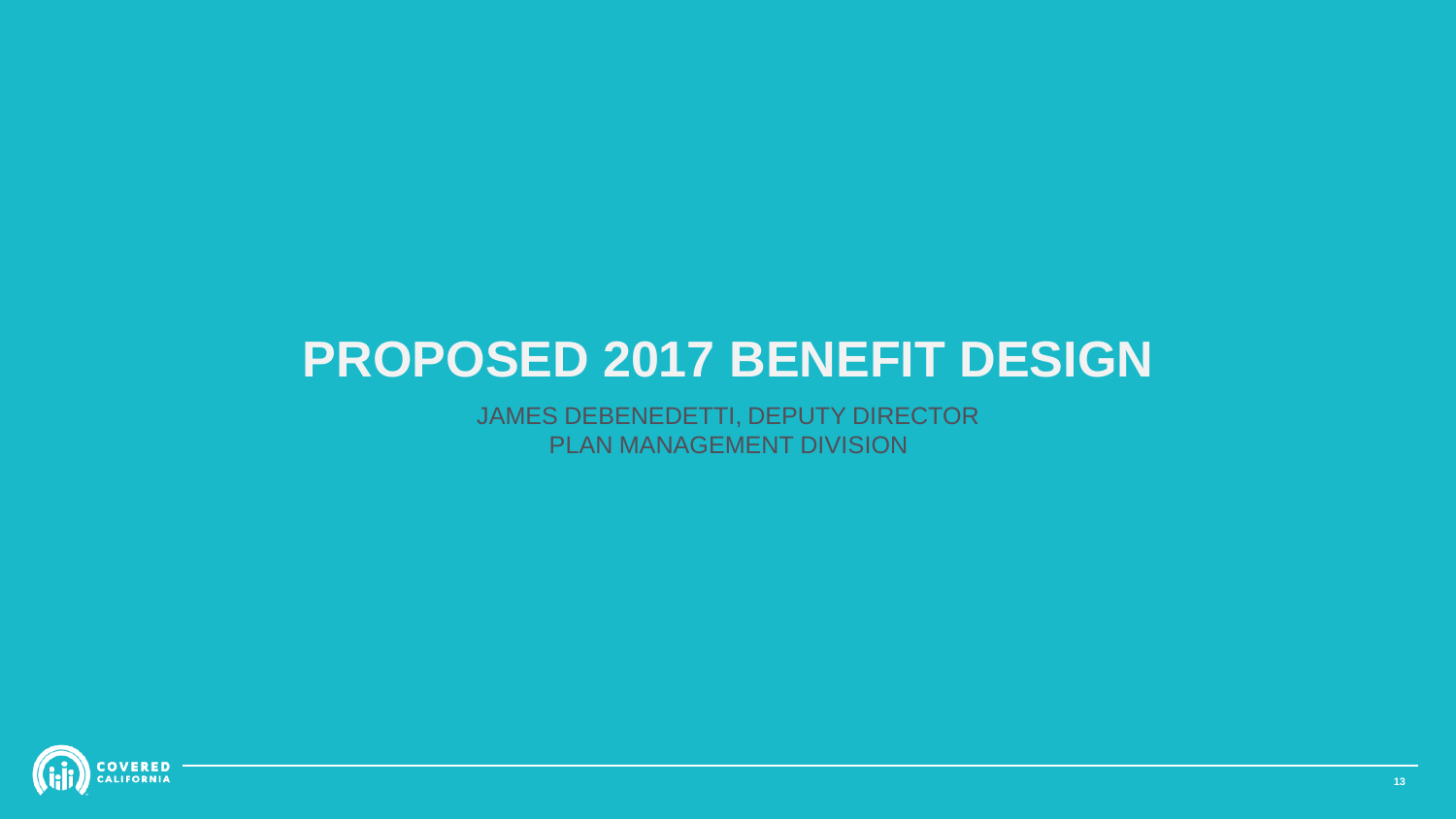# **PROPOSED 2017 BENEFIT DESIGN**

JAMES DEBENEDETTI, DEPUTY DIRECTOR PLAN MANAGEMENT DIVISION

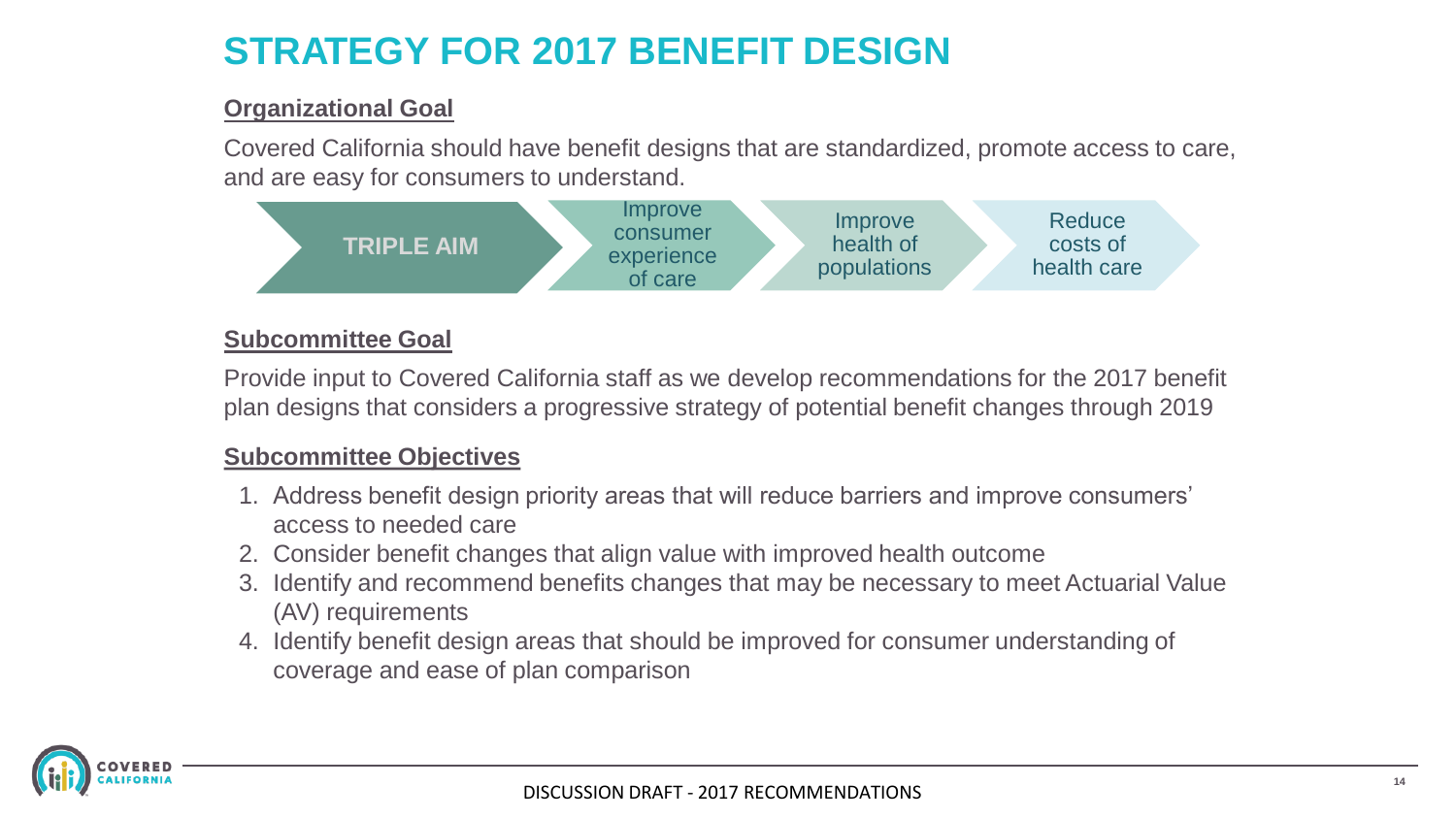### **STRATEGY FOR 2017 BENEFIT DESIGN**

#### **Organizational Goal**

Covered California should have benefit designs that are standardized, promote access to care, and are easy for consumers to understand.



#### **Subcommittee Goal**

Provide input to Covered California staff as we develop recommendations for the 2017 benefit plan designs that considers a progressive strategy of potential benefit changes through 2019

#### **Subcommittee Objectives**

- 1. Address benefit design priority areas that will reduce barriers and improve consumers' access to needed care
- 2. Consider benefit changes that align value with improved health outcome
- 3. Identify and recommend benefits changes that may be necessary to meet Actuarial Value (AV) requirements
- 4. Identify benefit design areas that should be improved for consumer understanding of coverage and ease of plan comparison

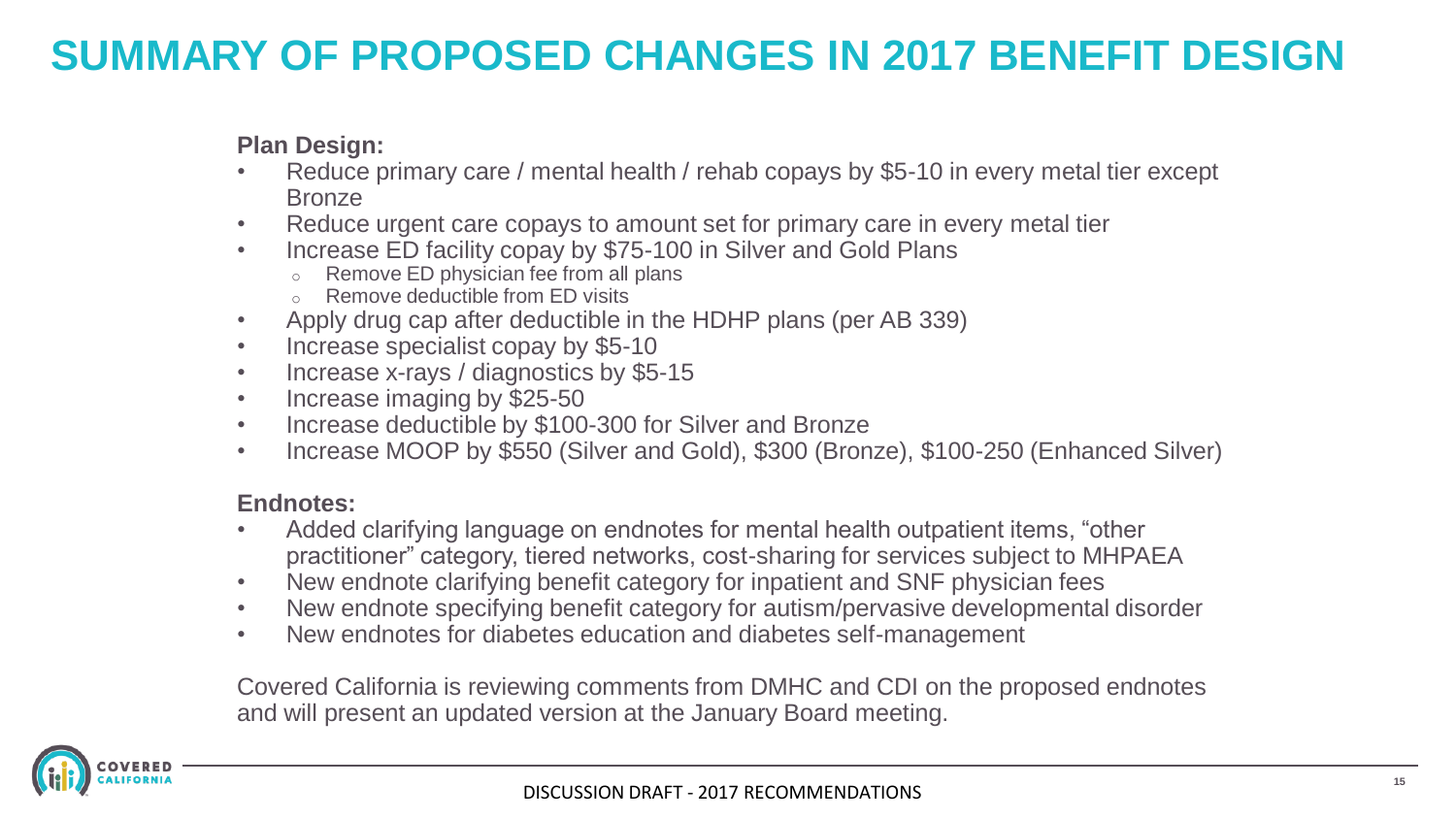## **SUMMARY OF PROPOSED CHANGES IN 2017 BENEFIT DESIGN**

#### **Plan Design:**

- Reduce primary care / mental health / rehab copays by \$5-10 in every metal tier except **Bronze**
- Reduce urgent care copays to amount set for primary care in every metal tier
- Increase ED facility copay by \$75-100 in Silver and Gold Plans
	- $\circ$  Remove ED physician fee from all plans
	- o Remove deductible from ED visits
- Apply drug cap after deductible in the HDHP plans (per AB 339)
- Increase specialist copay by \$5-10
- Increase x-rays / diagnostics by \$5-15
- Increase imaging by \$25-50
- Increase deductible by \$100-300 for Silver and Bronze
- Increase MOOP by \$550 (Silver and Gold), \$300 (Bronze), \$100-250 (Enhanced Silver)

#### **Endnotes:**

- Added clarifying language on endnotes for mental health outpatient items, "other practitioner" category, tiered networks, cost-sharing for services subject to MHPAEA
- New endnote clarifying benefit category for inpatient and SNF physician fees
- New endnote specifying benefit category for autism/pervasive developmental disorder
- New endnotes for diabetes education and diabetes self-management

Covered California is reviewing comments from DMHC and CDI on the proposed endnotes and will present an updated version at the January Board meeting.

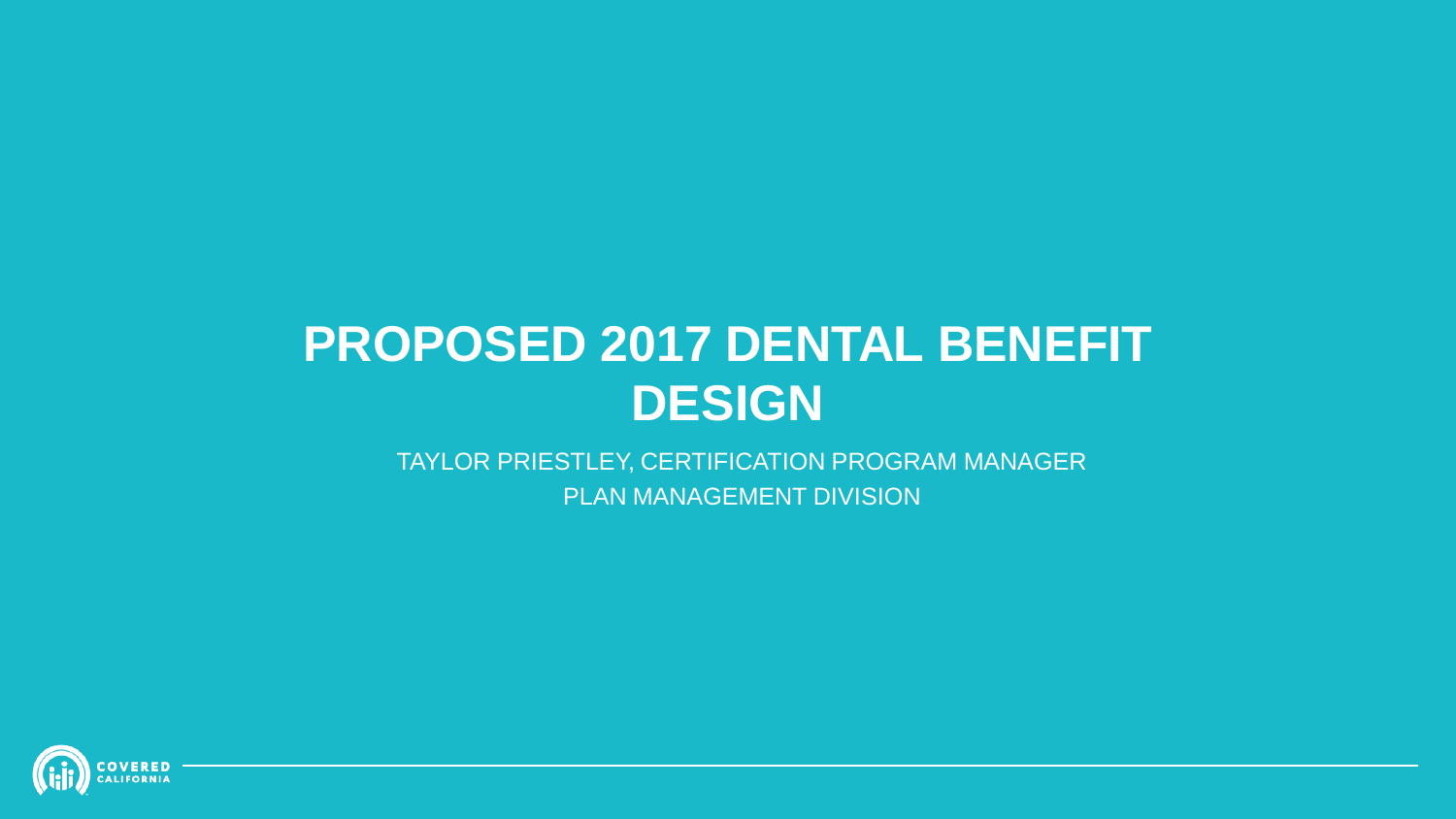# **PROPOSED 2017 DENTAL BENEFIT DESIGN**

TAYLOR PRIESTLEY, CERTIFICATION PROGRAM MANAGER PLAN MANAGEMENT DIVISION

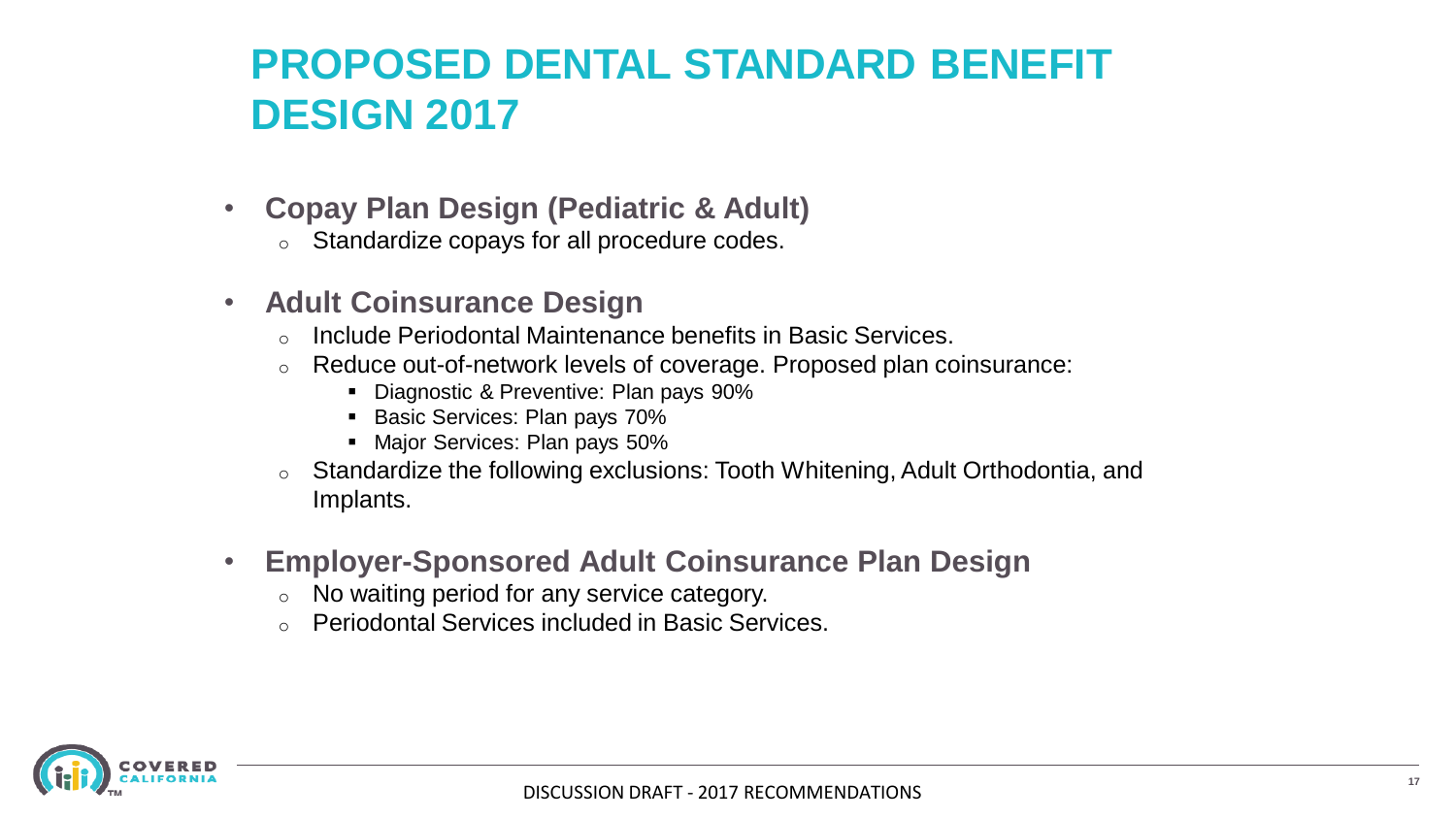## **PROPOSED DENTAL STANDARD BENEFIT DESIGN 2017**

- **Copay Plan Design (Pediatric & Adult)**
	- o Standardize copays for all procedure codes.
- **Adult Coinsurance Design** 
	- o Include Periodontal Maintenance benefits in Basic Services.
	- Reduce out-of-network levels of coverage. Proposed plan coinsurance:
		- Diagnostic & Preventive: Plan pays 90%
		- Basic Services: Plan pays 70%
		- **Major Services: Plan pays 50%**
	- o Standardize the following exclusions: Tooth Whitening, Adult Orthodontia, and Implants.
- **Employer-Sponsored Adult Coinsurance Plan Design**
	- o No waiting period for any service category.
	- o Periodontal Services included in Basic Services.

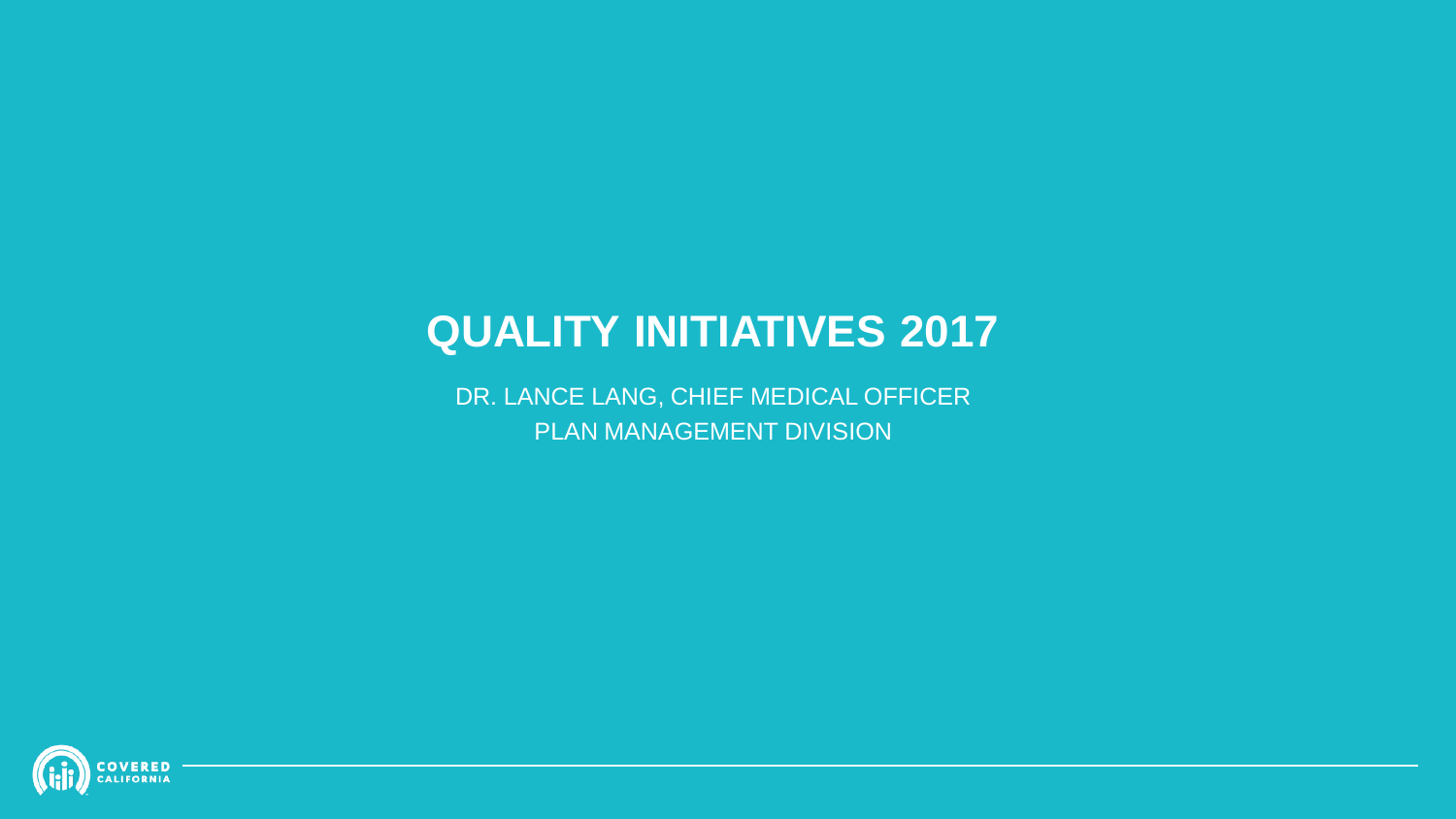## **QUALITY INITIATIVES 2017**

DR. LANCE LANG, CHIEF MEDICAL OFFICER PLAN MANAGEMENT DIVISION

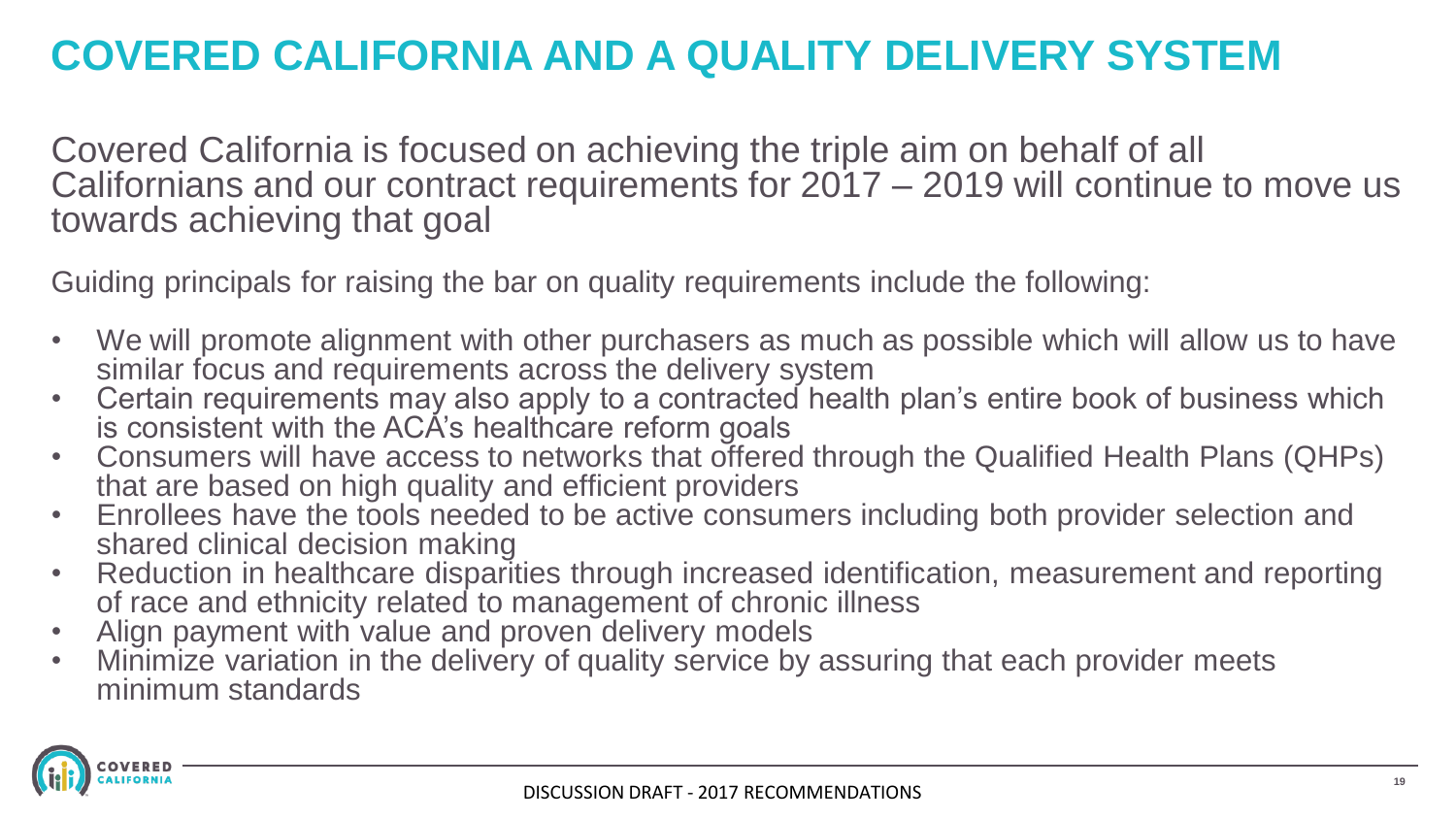## **COVERED CALIFORNIA AND A QUALITY DELIVERY SYSTEM**

Covered California is focused on achieving the triple aim on behalf of all Californians and our contract requirements for  $2017 - 2019$  will continue to move us towards achieving that goal

Guiding principals for raising the bar on quality requirements include the following:

- We will promote alignment with other purchasers as much as possible which will allow us to have similar focus and requirements across the delivery system
- Certain requirements may also apply to a contracted health plan's entire book of business which is consistent with the ACA's healthcare reform goals
- Consumers will have access to networks that offered through the Qualified Health Plans (QHPs) that are based on high quality and efficient providers
- Enrollees have the tools needed to be active consumers including both provider selection and shared clinical decision making
- Reduction in healthcare disparities through increased identification, measurement and reporting of race and ethnicity related to management of chronic illness
- Align payment with value and proven delivery models
- Minimize variation in the delivery of quality service by assuring that each provider meets minimum standards

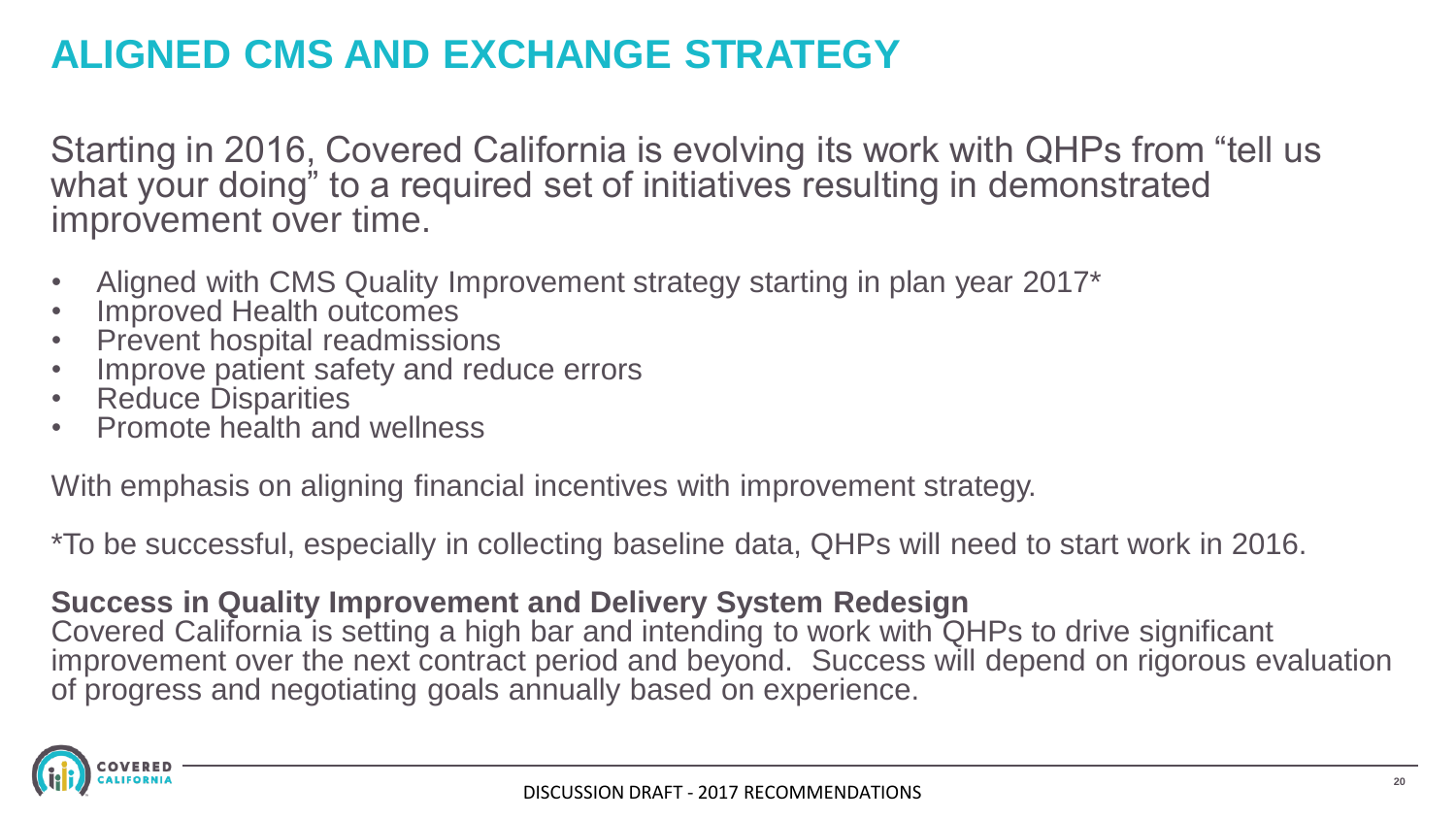### **ALIGNED CMS AND EXCHANGE STRATEGY**

Starting in 2016, Covered California is evolving its work with QHPs from "tell us what your doing" to a required set of initiatives resulting in demonstrated improvement over time.

- Aligned with CMS Quality Improvement strategy starting in plan year 2017\*
- Improved Health outcomes
- Prevent hospital readmissions
- Improve patient safety and reduce errors
- Reduce Disparities
- Promote health and wellness

With emphasis on aligning financial incentives with improvement strategy.

\*To be successful, especially in collecting baseline data, QHPs will need to start work in 2016.

#### **Success in Quality Improvement and Delivery System Redesign**

Covered California is setting a high bar and intending to work with QHPs to drive significant improvement over the next contract period and beyond. Success will depend on rigorous evaluation of progress and negotiating goals annually based on experience.

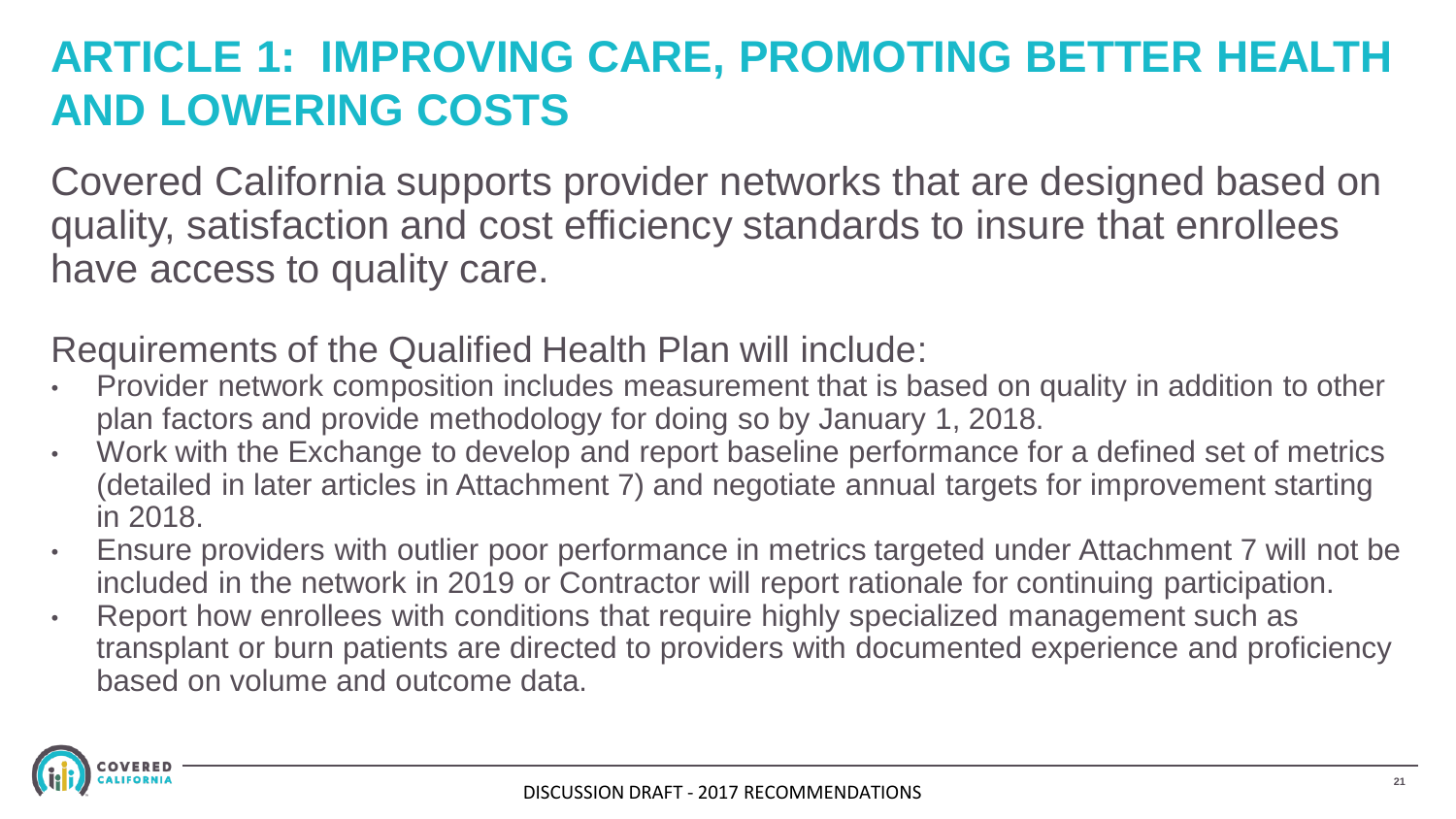## **ARTICLE 1: IMPROVING CARE, PROMOTING BETTER HEALTH AND LOWERING COSTS**

Covered California supports provider networks that are designed based on quality, satisfaction and cost efficiency standards to insure that enrollees have access to quality care.

- Provider network composition includes measurement that is based on quality in addition to other plan factors and provide methodology for doing so by January 1, 2018.
- Work with the Exchange to develop and report baseline performance for a defined set of metrics (detailed in later articles in Attachment 7) and negotiate annual targets for improvement starting in 2018.
- Ensure providers with outlier poor performance in metrics targeted under Attachment 7 will not be included in the network in 2019 or Contractor will report rationale for continuing participation.
- Report how enrollees with conditions that require highly specialized management such as transplant or burn patients are directed to providers with documented experience and proficiency based on volume and outcome data.

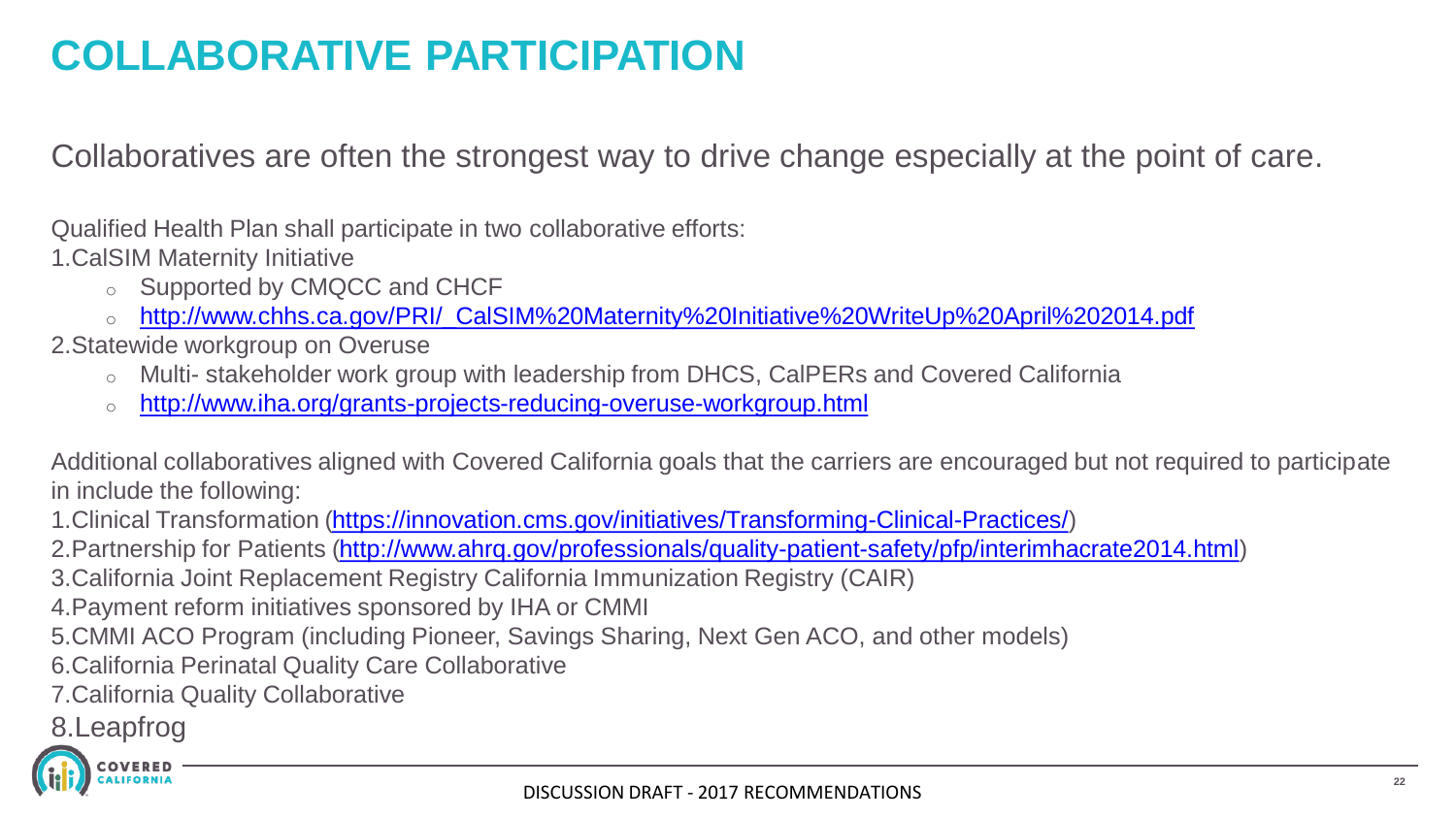## **COLLABORATIVE PARTICIPATION**

Collaboratives are often the strongest way to drive change especially at the point of care.

Qualified Health Plan shall participate in two collaborative efforts:

1.CalSIM Maternity Initiative

- o Supported by CMQCC and CHCF
- o [http://www.chhs.ca.gov/PRI/\\_CalSIM%20Maternity%20Initiative%20WriteUp%20April%202014.pdf](http://www.chhs.ca.gov/PRI/_CalSIM Maternity Initiative WriteUp April 2014.pdf)

2.Statewide workgroup on Overuse

- o Multi- stakeholder work group with leadership from DHCS, CalPERs and Covered California
- o <http://www.iha.org/grants-projects-reducing-overuse-workgroup.html>

Additional collaboratives aligned with Covered California goals that the carriers are encouraged but not required to participate in include the following:

1.Clinical Transformation [\(https://innovation.cms.gov/initiatives/Transforming-Clinical-Practices/](https://innovation.cms.gov/initiatives/Transforming-Clinical-Practices/))

2.Partnership for Patients [\(http://www.ahrq.gov/professionals/quality-patient-safety/pfp/interimhacrate2014.html\)](http://www.ahrq.gov/professionals/quality-patient-safety/pfp/interimhacrate2014.html)

3.California Joint Replacement Registry California Immunization Registry (CAIR)

4.Payment reform initiatives sponsored by IHA or CMMI

5.CMMI ACO Program (including Pioneer, Savings Sharing, Next Gen ACO, and other models)

6.California Perinatal Quality Care Collaborative

7.California Quality Collaborative

#### 8.Leapfrog

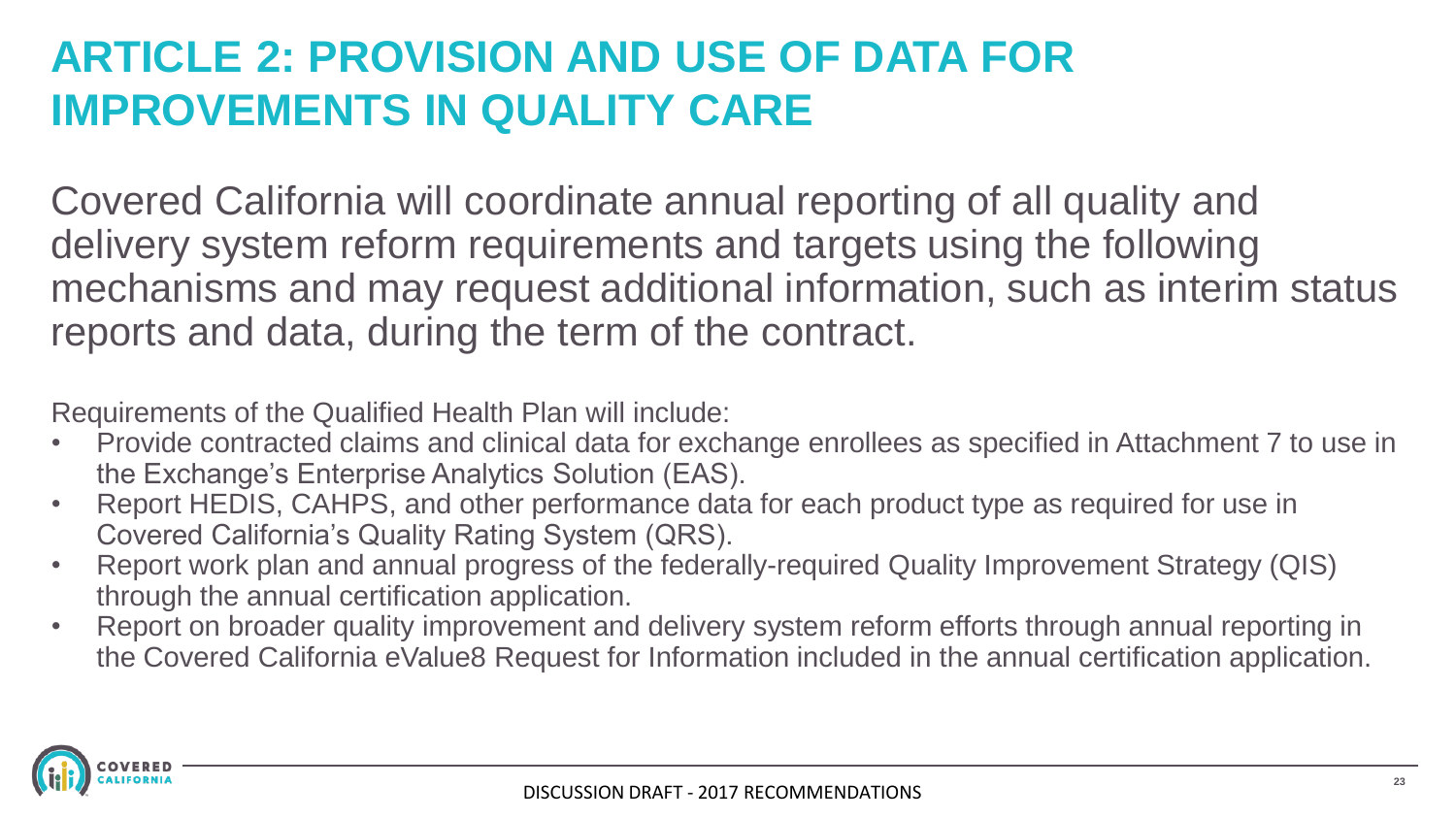## **ARTICLE 2: PROVISION AND USE OF DATA FOR IMPROVEMENTS IN QUALITY CARE**

Covered California will coordinate annual reporting of all quality and delivery system reform requirements and targets using the following mechanisms and may request additional information, such as interim status reports and data, during the term of the contract.

- Provide contracted claims and clinical data for exchange enrollees as specified in Attachment 7 to use in the Exchange's Enterprise Analytics Solution (EAS).
- Report HEDIS, CAHPS, and other performance data for each product type as required for use in Covered California's Quality Rating System (QRS).
- Report work plan and annual progress of the federally-required Quality Improvement Strategy (QIS) through the annual certification application.
- Report on broader quality improvement and delivery system reform efforts through annual reporting in the Covered California eValue8 Request for Information included in the annual certification application.

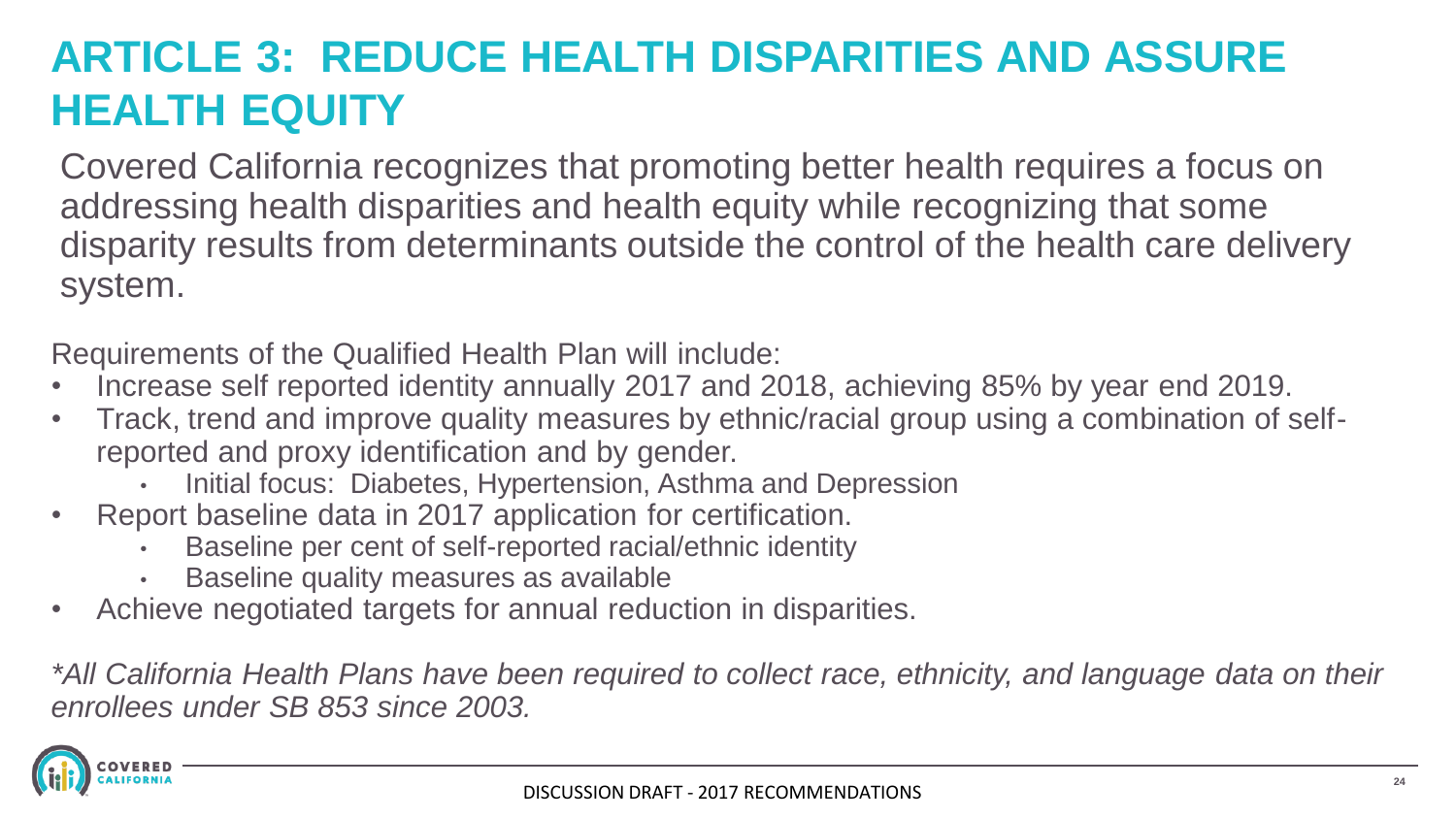## **ARTICLE 3: REDUCE HEALTH DISPARITIES AND ASSURE HEALTH EQUITY**

Covered California recognizes that promoting better health requires a focus on addressing health disparities and health equity while recognizing that some disparity results from determinants outside the control of the health care delivery system.

Requirements of the Qualified Health Plan will include:

- Increase self reported identity annually 2017 and 2018, achieving 85% by year end 2019.
- Track, trend and improve quality measures by ethnic/racial group using a combination of selfreported and proxy identification and by gender.
	- Initial focus: Diabetes, Hypertension, Asthma and Depression
- Report baseline data in 2017 application for certification.
	- Baseline per cent of self-reported racial/ethnic identity
	- Baseline quality measures as available
- Achieve negotiated targets for annual reduction in disparities.

*\*All California Health Plans have been required to collect race, ethnicity, and language data on their enrollees under SB 853 since 2003.*

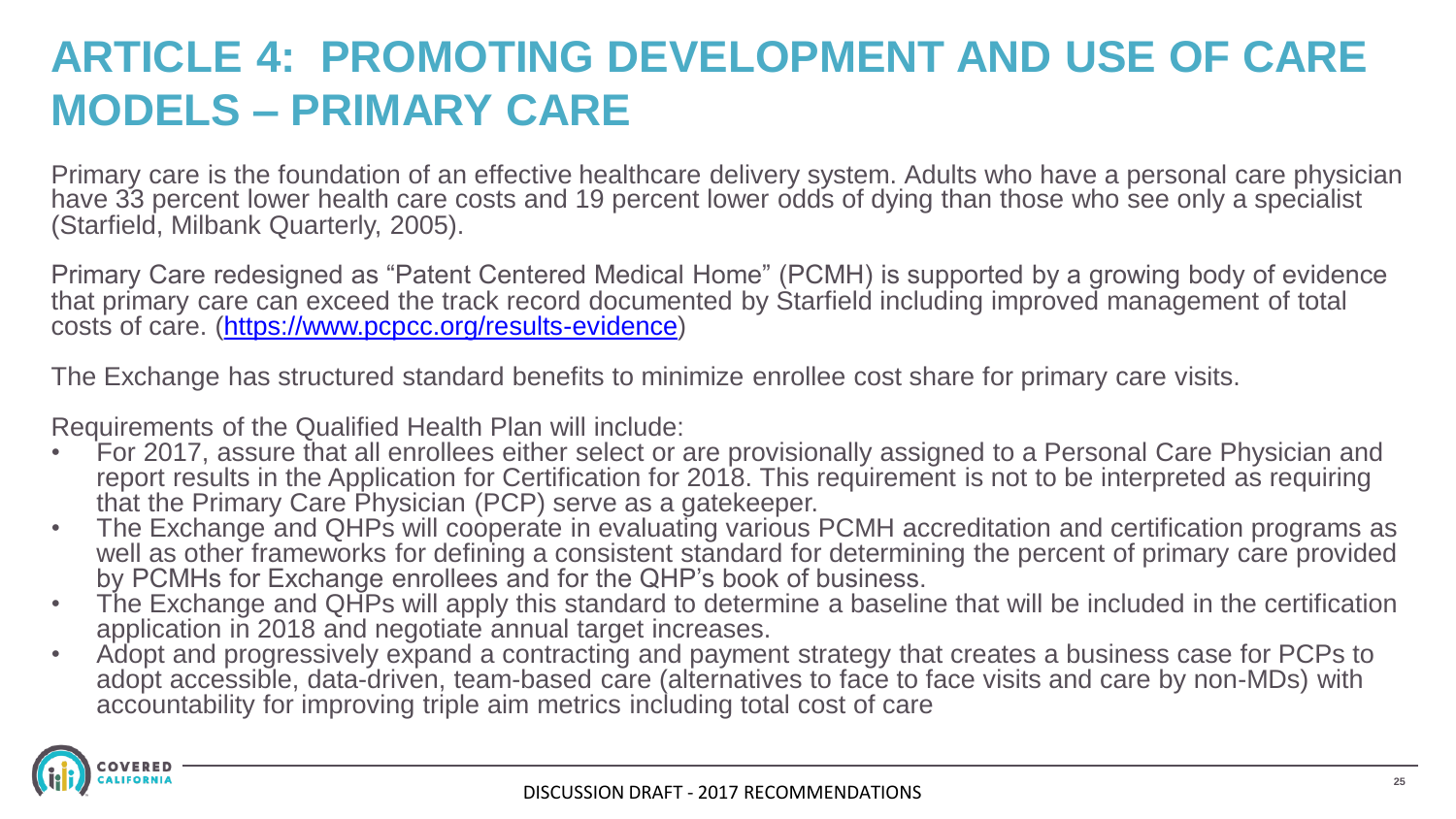## **ARTICLE 4: PROMOTING DEVELOPMENT AND USE OF CARE MODELS – PRIMARY CARE**

Primary care is the foundation of an effective healthcare delivery system. Adults who have a personal care physician have 33 percent lower health care costs and 19 percent lower odds of dying than those who see only a specialist (Starfield, Milbank Quarterly, 2005).

Primary Care redesigned as "Patent Centered Medical Home" (PCMH) is supported by a growing body of evidence that primary care can exceed the track record documented by Starfield including improved management of total costs of care. (<https://www.pcpcc.org/results-evidence>)

The Exchange has structured standard benefits to minimize enrollee cost share for primary care visits.

- For 2017, assure that all enrollees either select or are provisionally assigned to a Personal Care Physician and report results in the Application for Certification for 2018. This requirement is not to be interpreted as requiring that the Primary Care Physician (PCP) serve as a gatekeeper.
- The Exchange and QHPs will cooperate in evaluating various PCMH accreditation and certification programs as well as other frameworks for defining a consistent standard for determining the percent of primary care provided by PCMHs for Exchange enrollees and for the QHP's book of business.
- The Exchange and QHPs will apply this standard to determine a baseline that will be included in the certification application in 2018 and negotiate annual target increases.
- Adopt and progressively expand a contracting and payment strategy that creates a business case for PCPs to adopt accessible, data-driven, team-based care (alternatives to face to face visits and care by non-MDs) with accountability for improving triple aim metrics including total cost of care

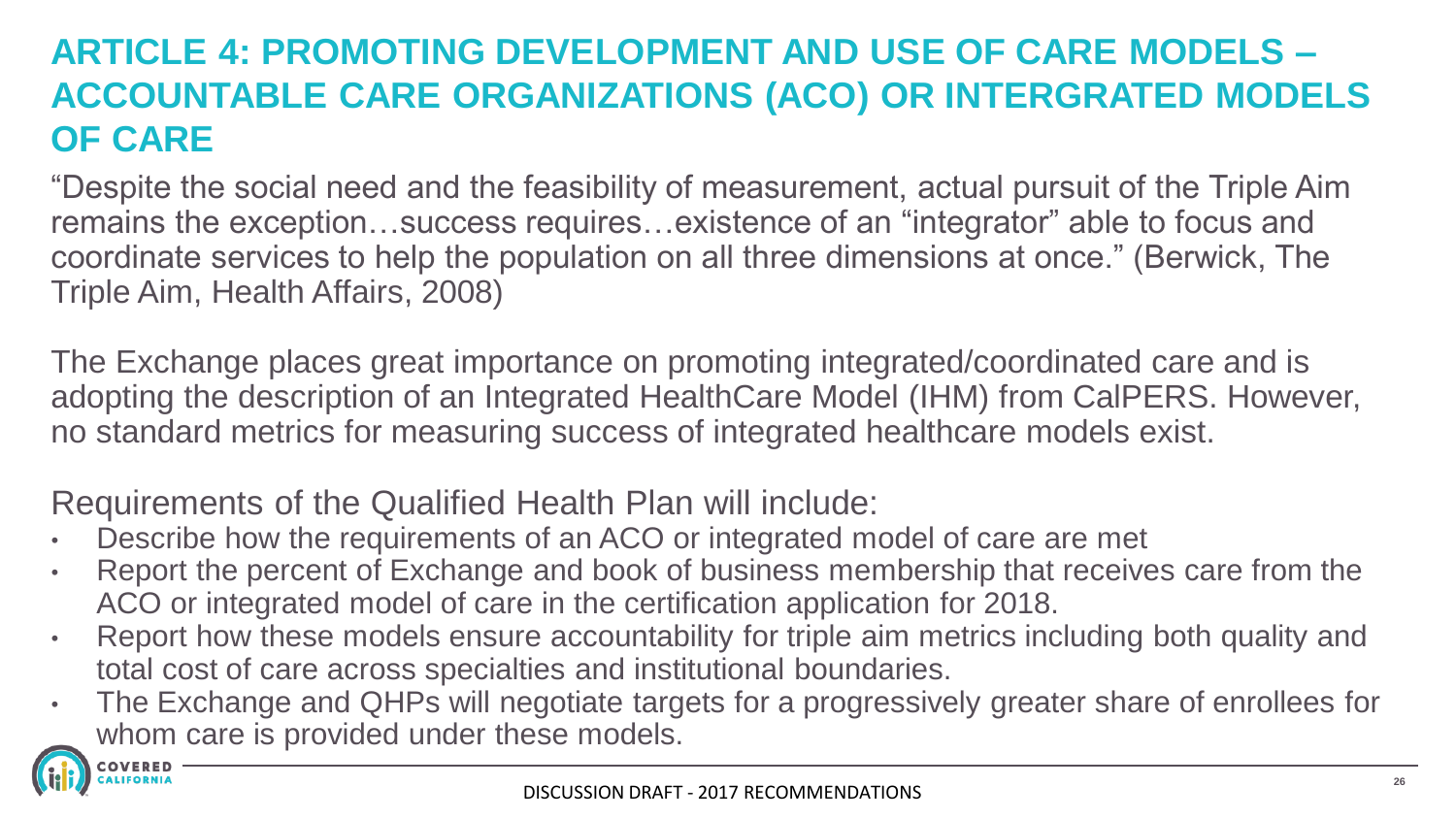#### **ARTICLE 4: PROMOTING DEVELOPMENT AND USE OF CARE MODELS – ACCOUNTABLE CARE ORGANIZATIONS (ACO) OR INTERGRATED MODELS OF CARE**

"Despite the social need and the feasibility of measurement, actual pursuit of the Triple Aim remains the exception…success requires…existence of an "integrator" able to focus and coordinate services to help the population on all three dimensions at once." (Berwick, The Triple Aim, Health Affairs, 2008)

The Exchange places great importance on promoting integrated/coordinated care and is adopting the description of an Integrated HealthCare Model (IHM) from CalPERS. However, no standard metrics for measuring success of integrated healthcare models exist.

- Describe how the requirements of an ACO or integrated model of care are met
- Report the percent of Exchange and book of business membership that receives care from the ACO or integrated model of care in the certification application for 2018.
- Report how these models ensure accountability for triple aim metrics including both quality and total cost of care across specialties and institutional boundaries.
- The Exchange and QHPs will negotiate targets for a progressively greater share of enrollees for whom care is provided under these models.

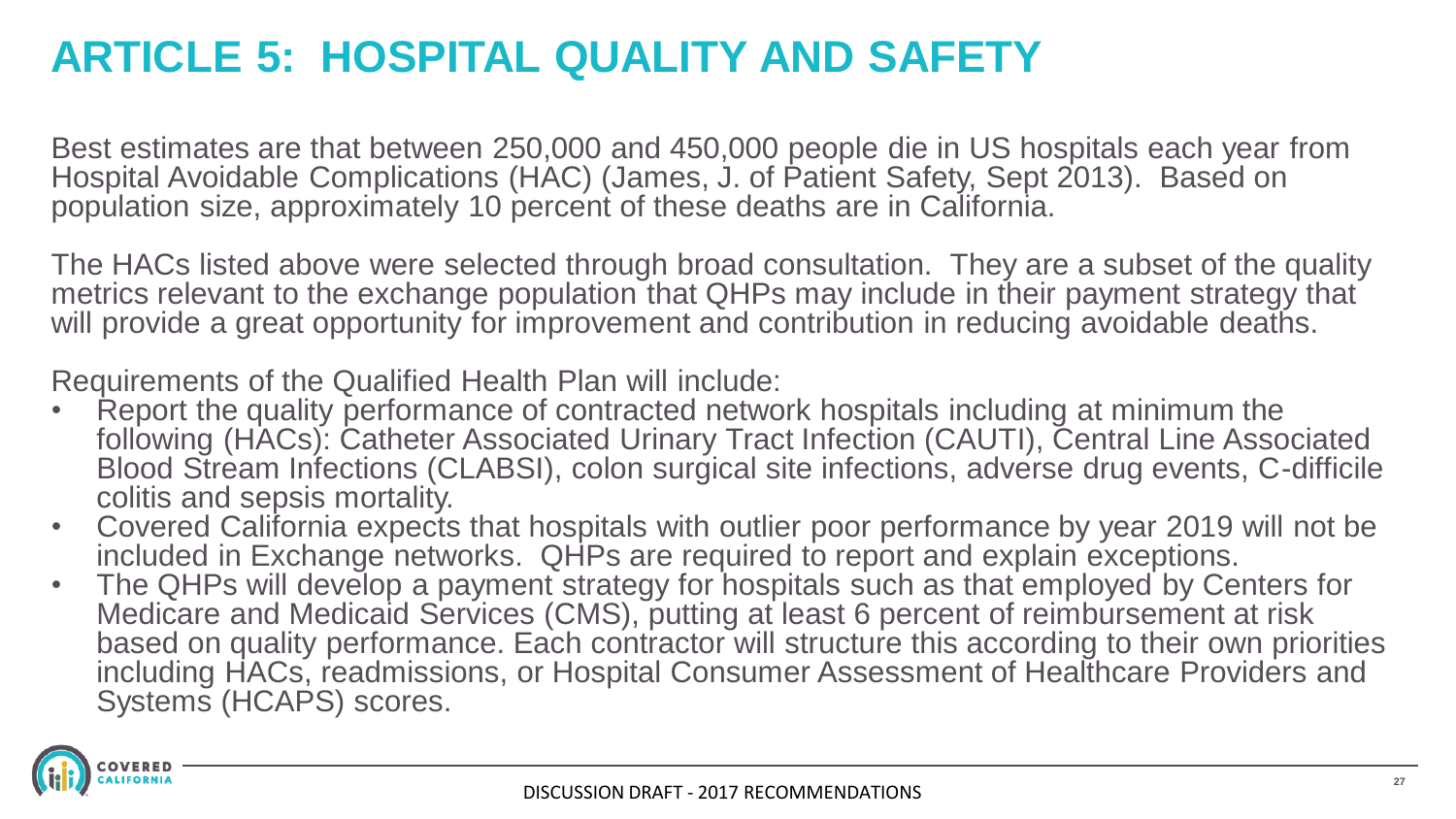# **ARTICLE 5: HOSPITAL QUALITY AND SAFETY**

Best estimates are that between 250,000 and 450,000 people die in US hospitals each year from Hospital Avoidable Complications (HAC) (James, J. of Patient Safety, Sept 2013). Based on population size, approximately 10 percent of these deaths are in California.

The HACs listed above were selected through broad consultation. They are a subset of the quality metrics relevant to the exchange population that QHPs may include in their payment strategy that will provide a great opportunity for improvement and contribution in reducing avoidable deaths.

- Report the quality performance of contracted network hospitals including at minimum the following (HACs): Catheter Associated Urinary Tract Infection (CAUTI), Central Line Associated Blood Stream Infections (CLABSI), colon surgical site infections, adverse drug events, C-difficile colitis and sepsis mortality.
- Covered California expects that hospitals with outlier poor performance by year 2019 will not be included in Exchange networks. QHPs are required to report and explain exceptions.
- The QHPs will develop a payment strategy for hospitals such as that employed by Centers for Medicare and Medicaid Services (CMS), putting at least 6 percent of reimbursement at risk based on quality performance. Each contractor will structure this according to their own priorities including HACs, readmissions, or Hospital Consumer Assessment of Healthcare Providers and Systems (HCAPS) scores.

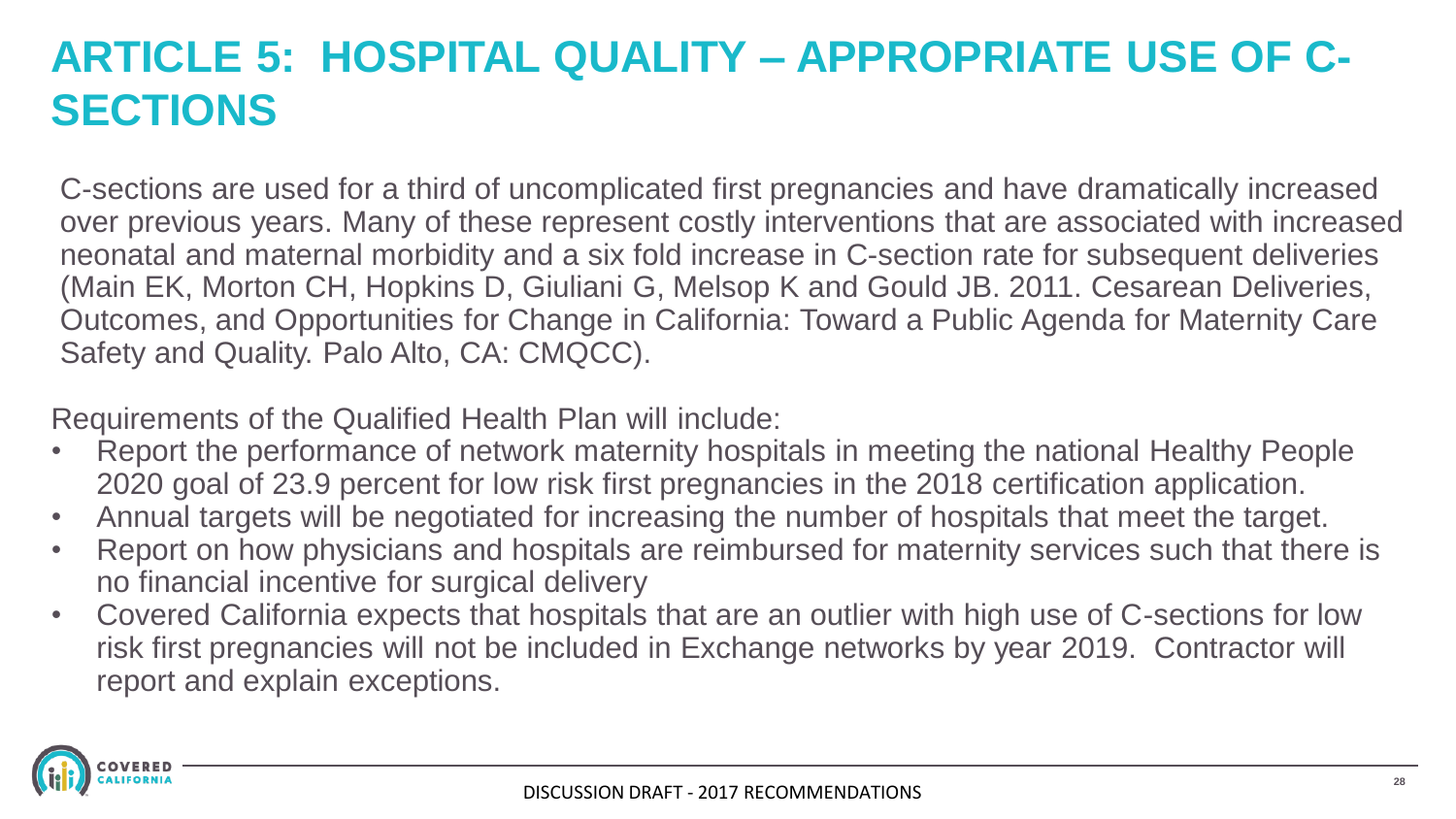# **ARTICLE 5: HOSPITAL QUALITY – APPROPRIATE USE OF C-SECTIONS**

C-sections are used for a third of uncomplicated first pregnancies and have dramatically increased over previous years. Many of these represent costly interventions that are associated with increased neonatal and maternal morbidity and a six fold increase in C-section rate for subsequent deliveries (Main EK, Morton CH, Hopkins D, Giuliani G, Melsop K and Gould JB. 2011. Cesarean Deliveries, Outcomes, and Opportunities for Change in California: Toward a Public Agenda for Maternity Care Safety and Quality. Palo Alto, CA: CMQCC).

- Report the performance of network maternity hospitals in meeting the national Healthy People 2020 goal of 23.9 percent for low risk first pregnancies in the 2018 certification application.
- Annual targets will be negotiated for increasing the number of hospitals that meet the target.
- Report on how physicians and hospitals are reimbursed for maternity services such that there is no financial incentive for surgical delivery
- Covered California expects that hospitals that are an outlier with high use of C-sections for low risk first pregnancies will not be included in Exchange networks by year 2019. Contractor will report and explain exceptions.

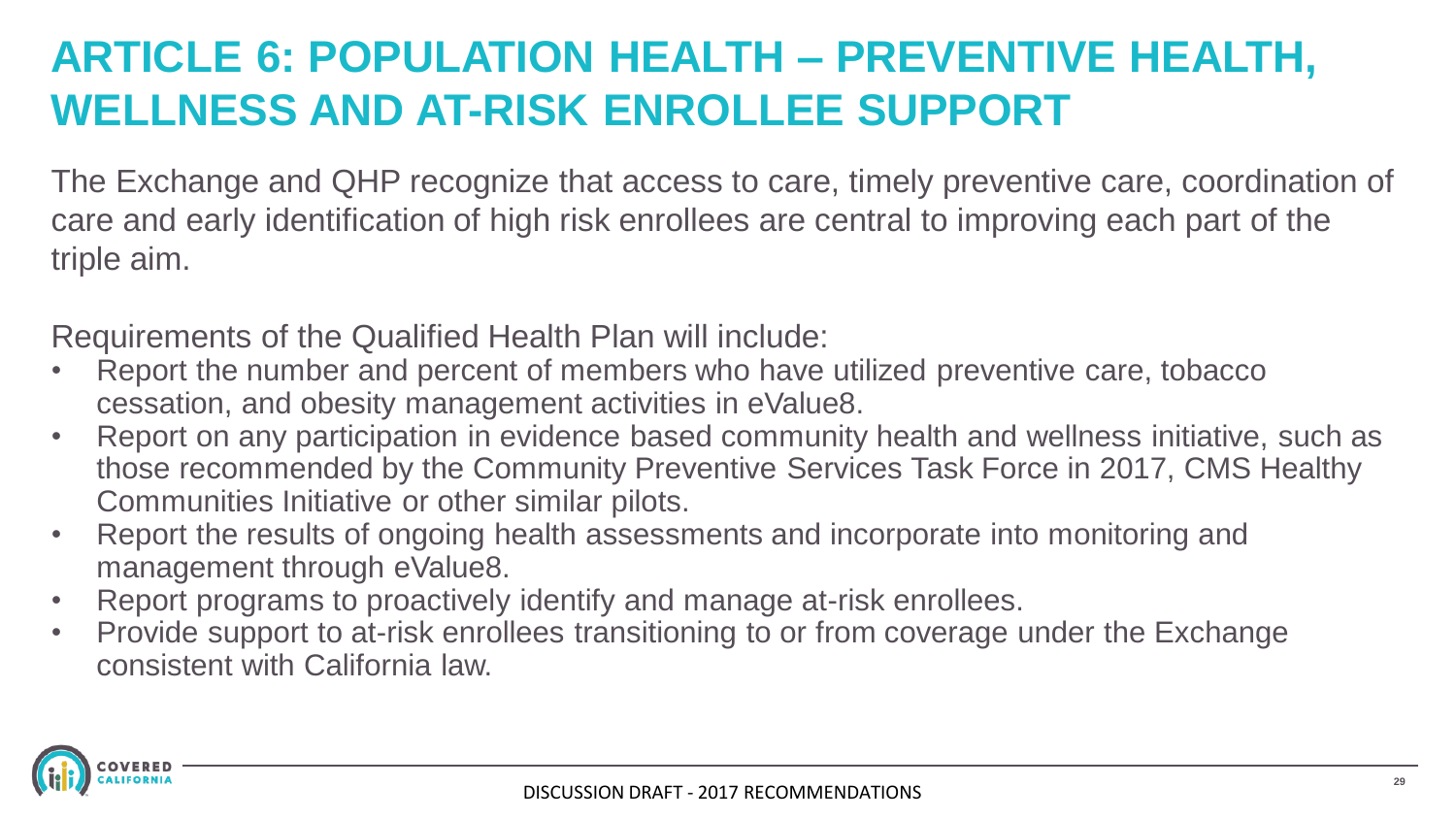## **ARTICLE 6: POPULATION HEALTH – PREVENTIVE HEALTH, WELLNESS AND AT-RISK ENROLLEE SUPPORT**

The Exchange and QHP recognize that access to care, timely preventive care, coordination of care and early identification of high risk enrollees are central to improving each part of the triple aim.

- Report the number and percent of members who have utilized preventive care, tobacco cessation, and obesity management activities in eValue8.
- Report on any participation in evidence based community health and wellness initiative, such as those recommended by the Community Preventive Services Task Force in 2017, CMS Healthy Communities Initiative or other similar pilots.
- Report the results of ongoing health assessments and incorporate into monitoring and management through eValue8.
- Report programs to proactively identify and manage at-risk enrollees.
- Provide support to at-risk enrollees transitioning to or from coverage under the Exchange consistent with California law.

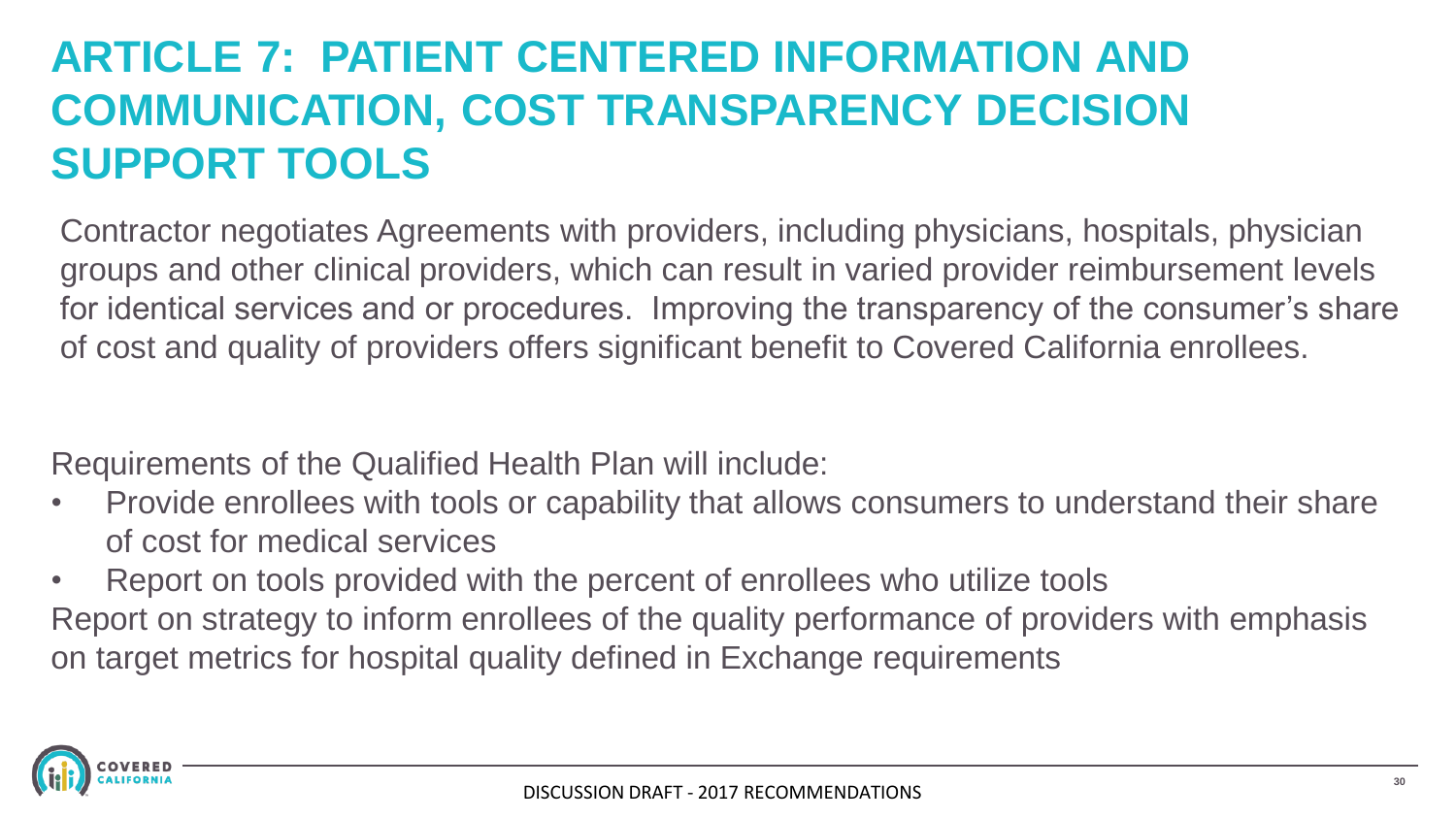# **ARTICLE 7: PATIENT CENTERED INFORMATION AND COMMUNICATION, COST TRANSPARENCY DECISION SUPPORT TOOLS**

Contractor negotiates Agreements with providers, including physicians, hospitals, physician groups and other clinical providers, which can result in varied provider reimbursement levels for identical services and or procedures. Improving the transparency of the consumer's share of cost and quality of providers offers significant benefit to Covered California enrollees.

- Provide enrollees with tools or capability that allows consumers to understand their share of cost for medical services
- Report on tools provided with the percent of enrollees who utilize tools Report on strategy to inform enrollees of the quality performance of providers with emphasis on target metrics for hospital quality defined in Exchange requirements

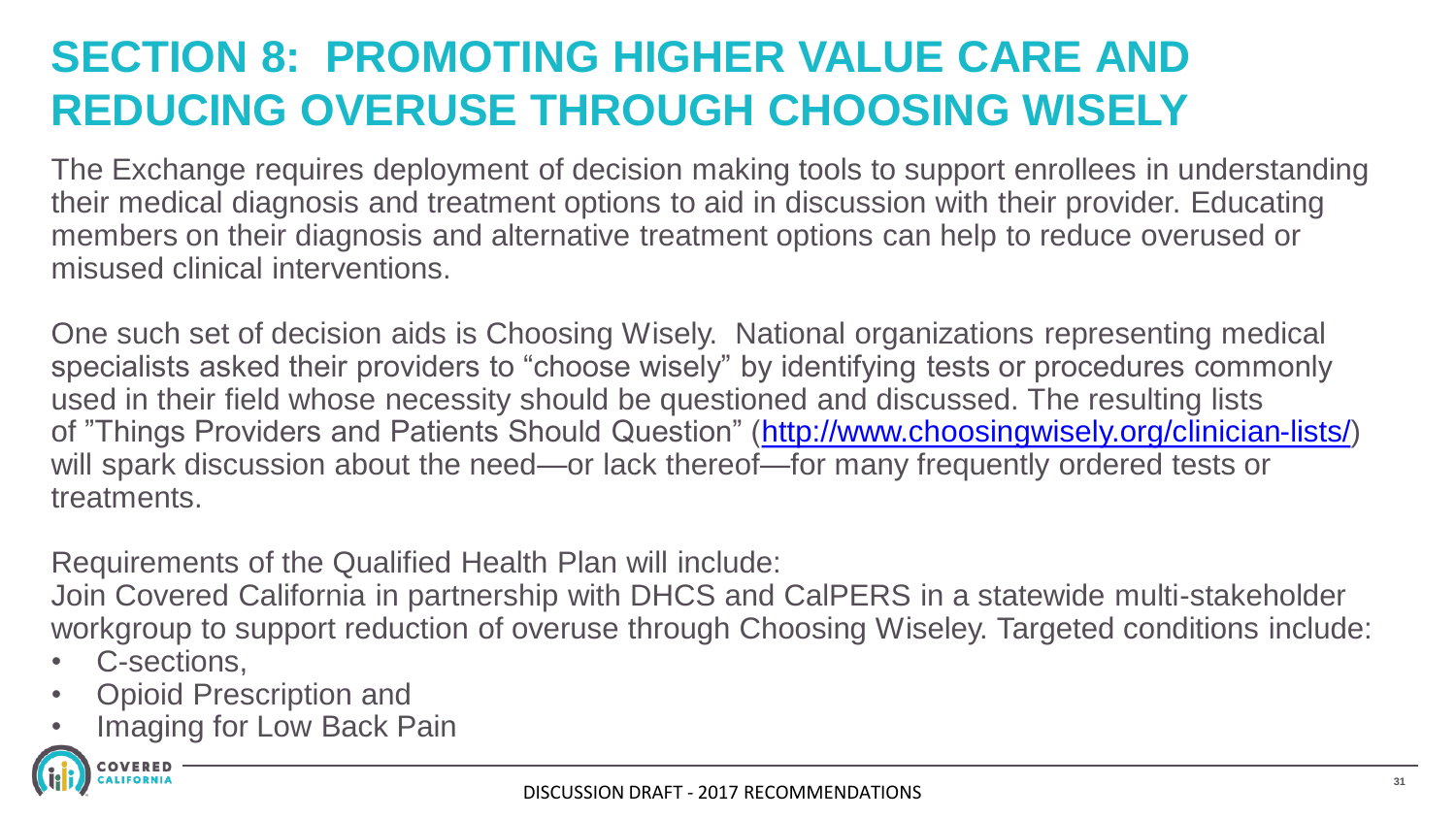## **SECTION 8: PROMOTING HIGHER VALUE CARE AND REDUCING OVERUSE THROUGH CHOOSING WISELY**

The Exchange requires deployment of decision making tools to support enrollees in understanding their medical diagnosis and treatment options to aid in discussion with their provider. Educating members on their diagnosis and alternative treatment options can help to reduce overused or misused clinical interventions.

One such set of decision aids is Choosing Wisely. National organizations representing medical specialists asked their providers to "choose wisely" by identifying tests or procedures commonly used in their field whose necessity should be questioned and discussed. The resulting lists of "Things Providers and Patients Should Question" ([http://www.choosingwisely.org/clinician-lists/\)](http://www.choosingwisely.org/clinician-lists/) will spark discussion about the need—or lack thereof—for many frequently ordered tests or treatments.

Requirements of the Qualified Health Plan will include:

Join Covered California in partnership with DHCS and CalPERS in a statewide multi-stakeholder workgroup to support reduction of overuse through Choosing Wiseley. Targeted conditions include:

- C-sections.
- Opioid Prescription and
- Imaging for Low Back Pain

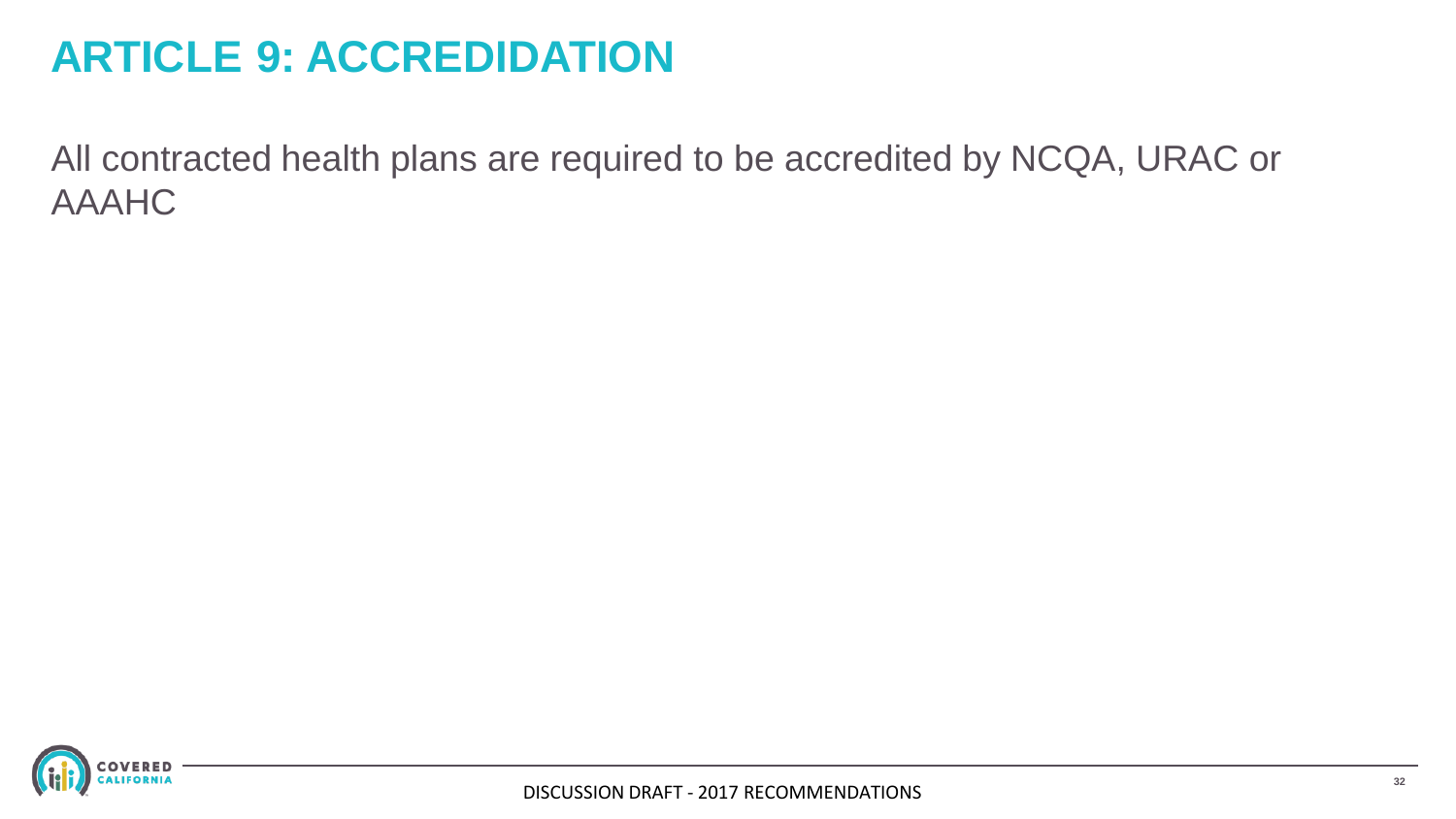## **ARTICLE 9: ACCREDIDATION**

All contracted health plans are required to be accredited by NCQA, URAC or AAAHC

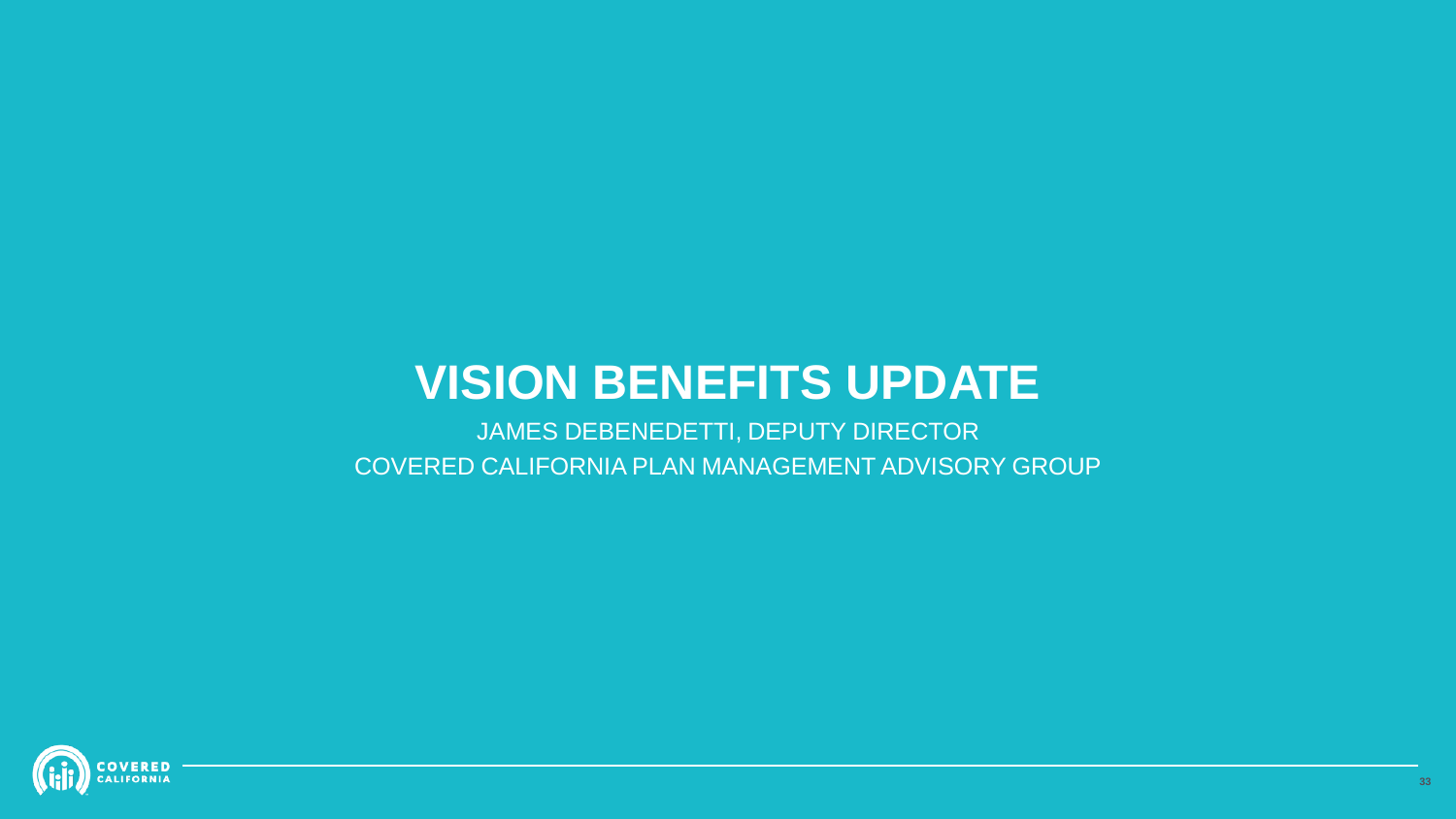# **VISION BENEFITS UPDATE**

JAMES DEBENEDETTI, DEPUTY DIRECTOR COVERED CALIFORNIA PLAN MANAGEMENT ADVISORY GROUP

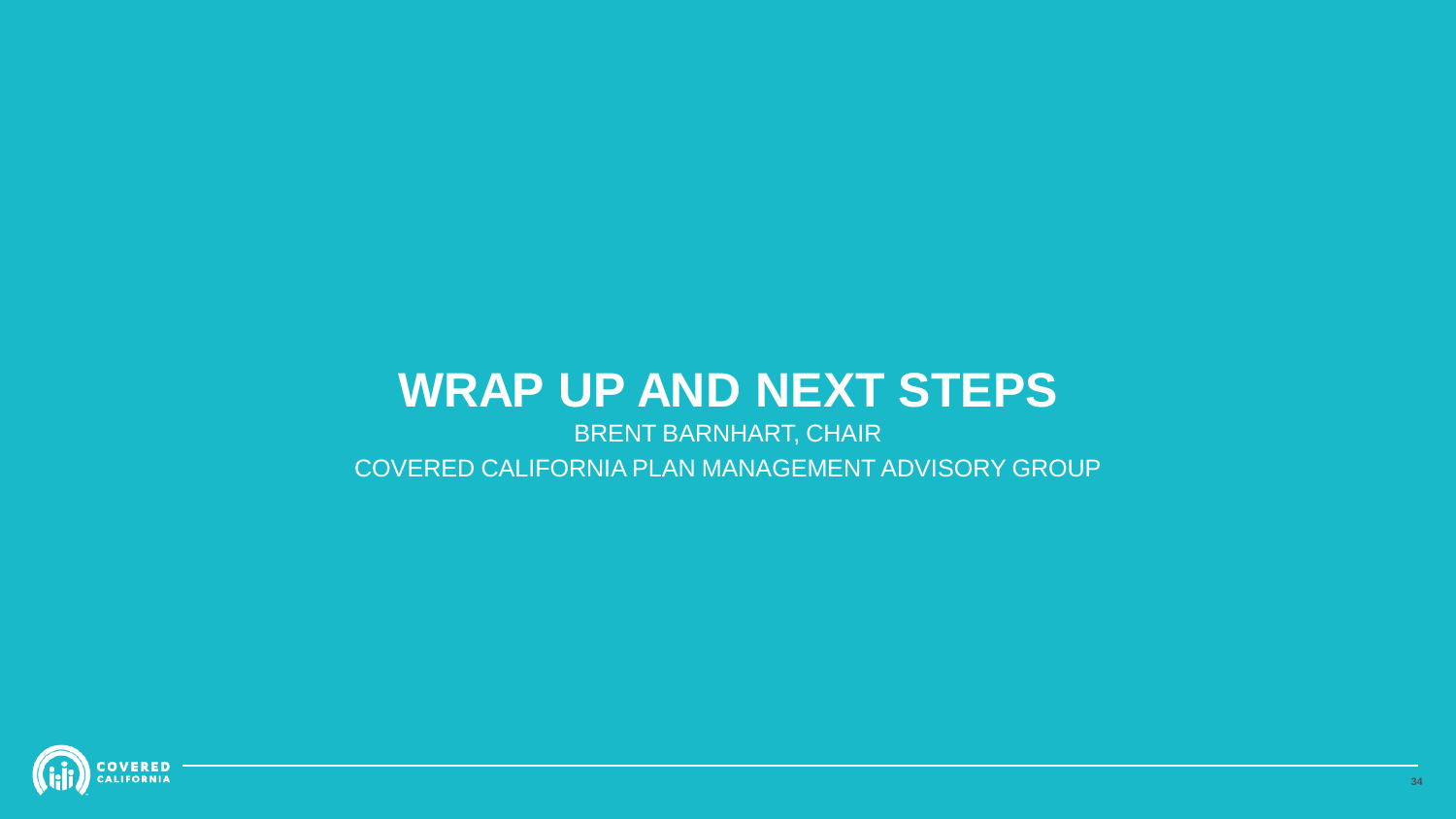## **WRAP UP AND NEXT STEPS**

#### BRENT BARNHART, CHAIR COVERED CALIFORNIA PLAN MANAGEMENT ADVISORY GROUP

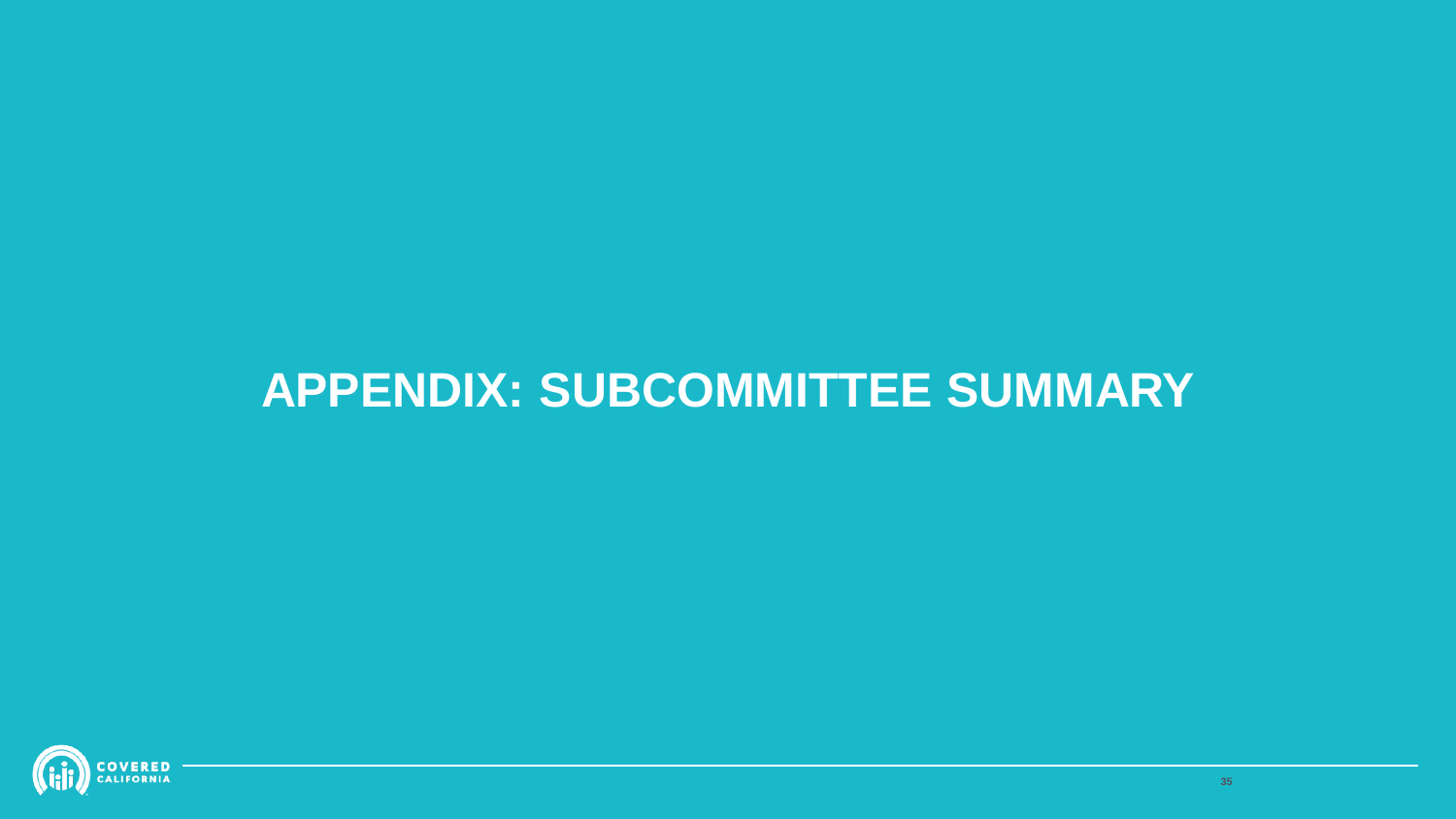## **APPENDIX: SUBCOMMITTEE SUMMARY**

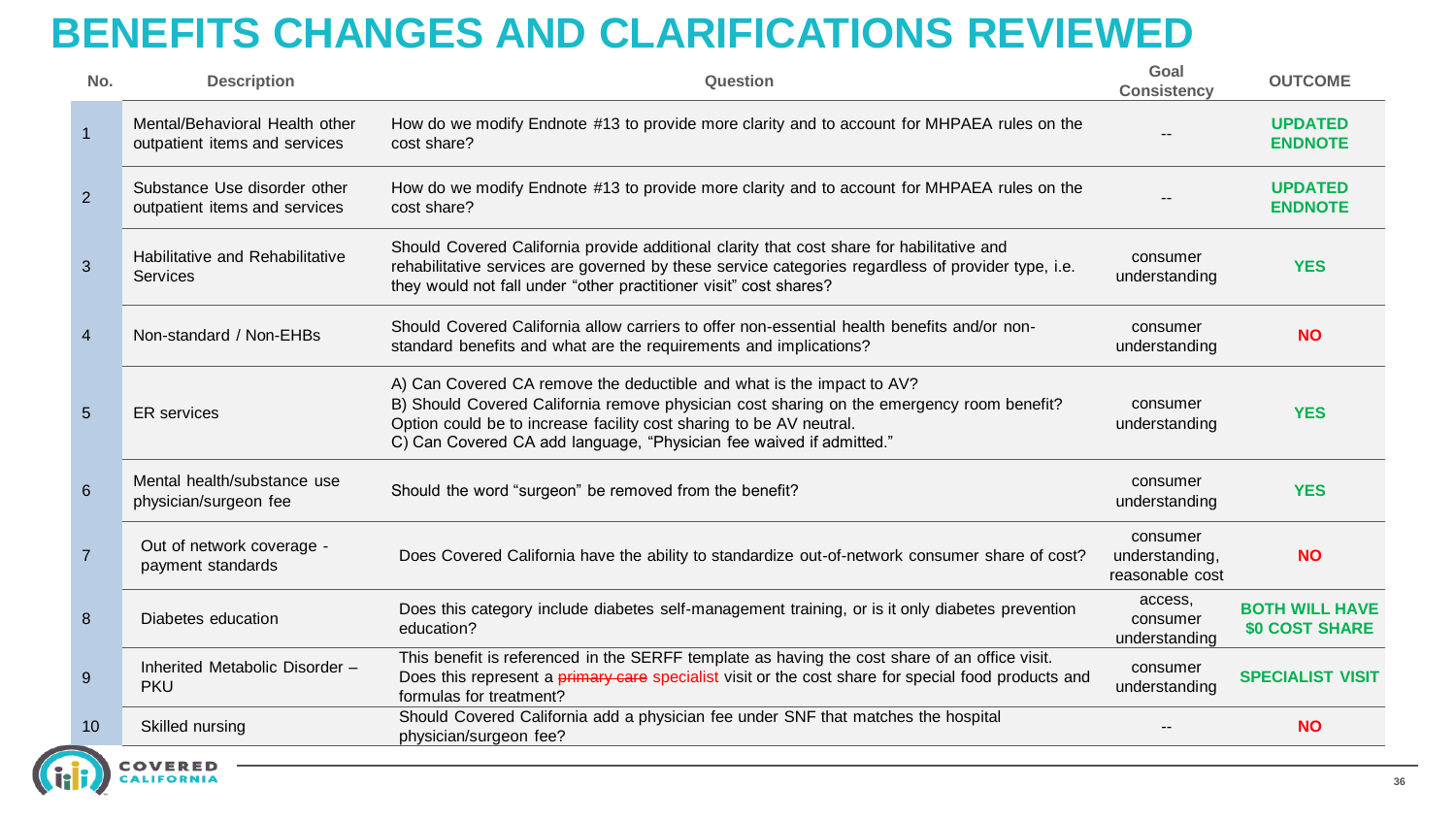## **BENEFITS CHANGES AND CLARIFICATIONS REVIEWED**

| No.             | <b>Description</b>                                              | Question                                                                                                                                                                                                                                                                                                         | Goal<br><b>Consistency</b>                    | <b>OUTCOME</b>                                 |
|-----------------|-----------------------------------------------------------------|------------------------------------------------------------------------------------------------------------------------------------------------------------------------------------------------------------------------------------------------------------------------------------------------------------------|-----------------------------------------------|------------------------------------------------|
| 1               | Mental/Behavioral Health other<br>outpatient items and services | How do we modify Endnote #13 to provide more clarity and to account for MHPAEA rules on the<br>cost share?                                                                                                                                                                                                       |                                               | <b>UPDATED</b><br><b>ENDNOTE</b>               |
| $\overline{2}$  | Substance Use disorder other<br>outpatient items and services   | How do we modify Endnote #13 to provide more clarity and to account for MHPAEA rules on the<br>cost share?                                                                                                                                                                                                       |                                               | <b>UPDATED</b><br><b>ENDNOTE</b>               |
| $\mathbf{3}$    | Habilitative and Rehabilitative<br><b>Services</b>              | Should Covered California provide additional clarity that cost share for habilitative and<br>rehabilitative services are governed by these service categories regardless of provider type, i.e.<br>they would not fall under "other practitioner visit" cost shares?                                             | consumer<br>understanding                     | <b>YES</b>                                     |
| $\overline{4}$  | Non-standard / Non-EHBs                                         | Should Covered California allow carriers to offer non-essential health benefits and/or non-<br>standard benefits and what are the requirements and implications?                                                                                                                                                 | consumer<br>understanding                     | <b>NO</b>                                      |
| 5               | <b>ER</b> services                                              | A) Can Covered CA remove the deductible and what is the impact to AV?<br>B) Should Covered California remove physician cost sharing on the emergency room benefit?<br>Option could be to increase facility cost sharing to be AV neutral.<br>C) Can Covered CA add language, "Physician fee waived if admitted." | consumer<br>understanding                     | <b>YES</b>                                     |
| $6\overline{6}$ | Mental health/substance use<br>physician/surgeon fee            | Should the word "surgeon" be removed from the benefit?                                                                                                                                                                                                                                                           | consumer<br>understanding                     | <b>YES</b>                                     |
| $\overline{7}$  | Out of network coverage -<br>payment standards                  | Does Covered California have the ability to standardize out-of-network consumer share of cost?                                                                                                                                                                                                                   | consumer<br>understanding,<br>reasonable cost | <b>NO</b>                                      |
| 8               | Diabetes education                                              | Does this category include diabetes self-management training, or is it only diabetes prevention<br>education?                                                                                                                                                                                                    | access,<br>consumer<br>understanding          | <b>BOTH WILL HAVE</b><br><b>\$0 COST SHARE</b> |
| 9               | Inherited Metabolic Disorder -<br><b>PKU</b>                    | This benefit is referenced in the SERFF template as having the cost share of an office visit.<br>Does this represent a primary care specialist visit or the cost share for special food products and<br>formulas for treatment?                                                                                  | consumer<br>understanding                     | <b>SPECIALIST VISIT</b>                        |
| 10              | Skilled nursing                                                 | Should Covered California add a physician fee under SNF that matches the hospital<br>physician/surgeon fee?                                                                                                                                                                                                      |                                               | <b>NO</b>                                      |
|                 | --------                                                        |                                                                                                                                                                                                                                                                                                                  |                                               |                                                |